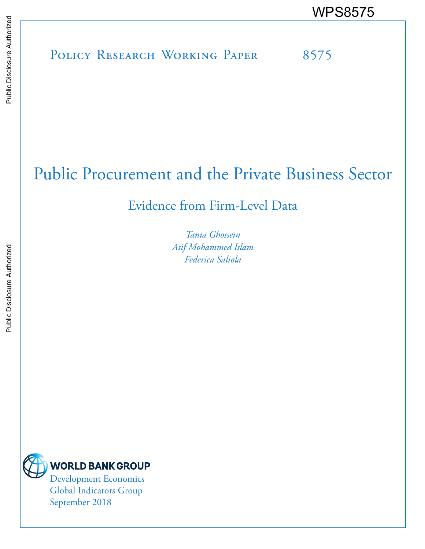# POLICY RESEARCH WORKING PAPER 8575 WPS8575<br>
Media<br>
Media<br>
Policy Research Working Paper<br>
Policy Research Working Paper<br>
Policy Research Working Paper

# Public Procurement and the Private Business Sector

Evidence from Firm-Level Data

*Tania Ghossein Asif Mohammed Islam Federica Saliola*

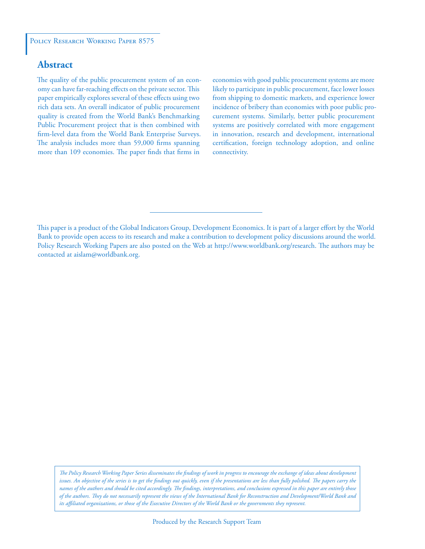## **Abstract**

The quality of the public procurement system of an economy can have far-reaching effects on the private sector. This paper empirically explores several of these effects using two rich data sets. An overall indicator of public procurement quality is created from the World Bank's Benchmarking Public Procurement project that is then combined with firm-level data from the World Bank Enterprise Surveys. The analysis includes more than 59,000 firms spanning more than 109 economies. The paper finds that firms in

economies with good public procurement systems are more likely to participate in public procurement, face lower losses from shipping to domestic markets, and experience lower incidence of bribery than economies with poor public procurement systems. Similarly, better public procurement systems are positively correlated with more engagement in innovation, research and development, international certification, foreign technology adoption, and online connectivity.

This paper is a product of the Global Indicators Group, Development Economics. It is part of a larger effort by the World Bank to provide open access to its research and make a contribution to development policy discussions around the world. Policy Research Working Papers are also posted on the Web at http://www.worldbank.org/research. The authors may be contacted at aislam@worldbank.org.

*The Policy Research Working Paper Series disseminates the findings of work in progress to encourage the exchange of ideas about development*  issues. An objective of the series is to get the findings out quickly, even if the presentations are less than fully polished. The papers carry the *names of the authors and should be cited accordingly. The findings, interpretations, and conclusions expressed in this paper are entirely those of the authors. They do not necessarily represent the views of the International Bank for Reconstruction and Development/World Bank and its affiliated organizations, or those of the Executive Directors of the World Bank or the governments they represent.*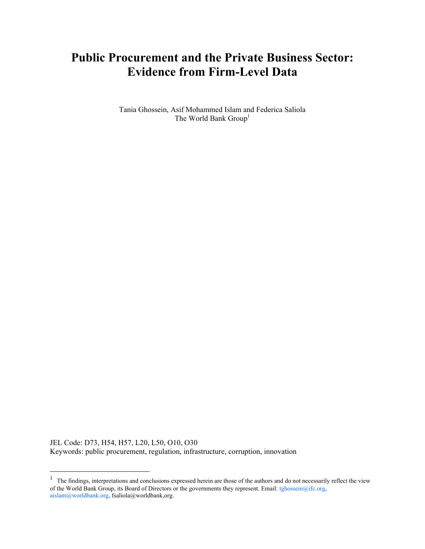# **Public Procurement and the Private Business Sector: Evidence from Firm-Level Data**

Tania Ghossein, Asif Mohammed Islam and Federica Saliola The World Bank Group<sup>1</sup>

JEL Code: D73, H54, H57, L20, L50, O10, O30 Keywords: public procurement, regulation, infrastructure, corruption, innovation

 $<sup>1</sup>$  The findings, interpretations and conclusions expressed herein are those of the authors and do not necessarily reflect the view</sup> of the World Bank Group, its Board of Directors or the governments they represent. Email: tghossein@ifc.org, aislam@worldbank.org, fsaliola@worldbank,org.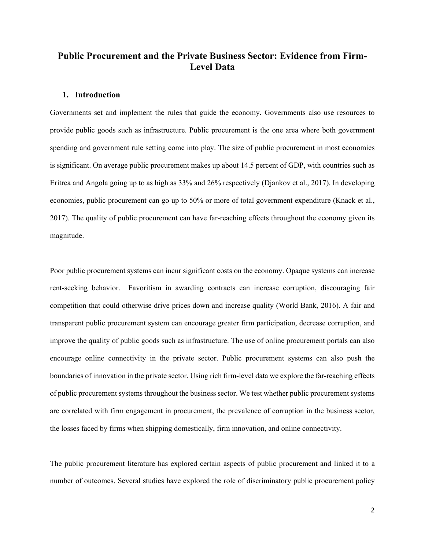# **Public Procurement and the Private Business Sector: Evidence from Firm-Level Data**

#### **1. Introduction**

Governments set and implement the rules that guide the economy. Governments also use resources to provide public goods such as infrastructure. Public procurement is the one area where both government spending and government rule setting come into play. The size of public procurement in most economies is significant. On average public procurement makes up about 14.5 percent of GDP, with countries such as Eritrea and Angola going up to as high as 33% and 26% respectively (Djankov et al., 2017). In developing economies, public procurement can go up to 50% or more of total government expenditure (Knack et al., 2017). The quality of public procurement can have far-reaching effects throughout the economy given its magnitude.

Poor public procurement systems can incur significant costs on the economy. Opaque systems can increase rent-seeking behavior. Favoritism in awarding contracts can increase corruption, discouraging fair competition that could otherwise drive prices down and increase quality (World Bank, 2016). A fair and transparent public procurement system can encourage greater firm participation, decrease corruption, and improve the quality of public goods such as infrastructure. The use of online procurement portals can also encourage online connectivity in the private sector. Public procurement systems can also push the boundaries of innovation in the private sector. Using rich firm-level data we explore the far-reaching effects of public procurement systems throughout the business sector. We test whether public procurement systems are correlated with firm engagement in procurement, the prevalence of corruption in the business sector, the losses faced by firms when shipping domestically, firm innovation, and online connectivity.

The public procurement literature has explored certain aspects of public procurement and linked it to a number of outcomes. Several studies have explored the role of discriminatory public procurement policy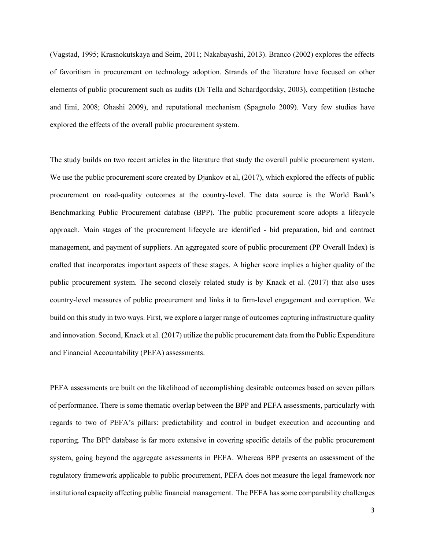(Vagstad, 1995; Krasnokutskaya and Seim, 2011; Nakabayashi, 2013). Branco (2002) explores the effects of favoritism in procurement on technology adoption. Strands of the literature have focused on other elements of public procurement such as audits (Di Tella and Schardgordsky, 2003), competition (Estache and Iimi, 2008; Ohashi 2009), and reputational mechanism (Spagnolo 2009). Very few studies have explored the effects of the overall public procurement system.

The study builds on two recent articles in the literature that study the overall public procurement system. We use the public procurement score created by Djankov et al,  $(2017)$ , which explored the effects of public procurement on road-quality outcomes at the country-level. The data source is the World Bank's Benchmarking Public Procurement database (BPP). The public procurement score adopts a lifecycle approach. Main stages of the procurement lifecycle are identified - bid preparation, bid and contract management, and payment of suppliers. An aggregated score of public procurement (PP Overall Index) is crafted that incorporates important aspects of these stages. A higher score implies a higher quality of the public procurement system. The second closely related study is by Knack et al. (2017) that also uses country-level measures of public procurement and links it to firm-level engagement and corruption. We build on this study in two ways. First, we explore a larger range of outcomes capturing infrastructure quality and innovation. Second, Knack et al. (2017) utilize the public procurement data from the Public Expenditure and Financial Accountability (PEFA) assessments.

PEFA assessments are built on the likelihood of accomplishing desirable outcomes based on seven pillars of performance. There is some thematic overlap between the BPP and PEFA assessments, particularly with regards to two of PEFA's pillars: predictability and control in budget execution and accounting and reporting. The BPP database is far more extensive in covering specific details of the public procurement system, going beyond the aggregate assessments in PEFA. Whereas BPP presents an assessment of the regulatory framework applicable to public procurement, PEFA does not measure the legal framework nor institutional capacity affecting public financial management. The PEFA has some comparability challenges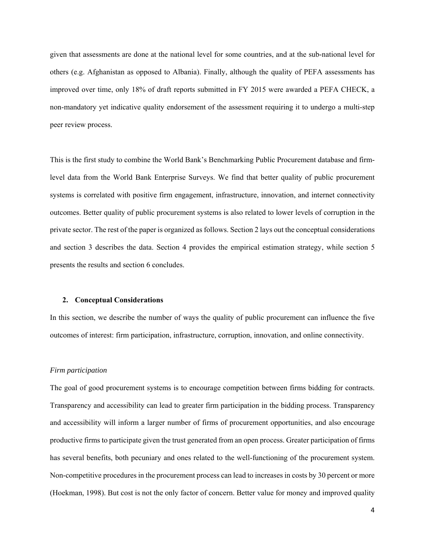given that assessments are done at the national level for some countries, and at the sub-national level for others (e.g. Afghanistan as opposed to Albania). Finally, although the quality of PEFA assessments has improved over time, only 18% of draft reports submitted in FY 2015 were awarded a PEFA CHECK, a non-mandatory yet indicative quality endorsement of the assessment requiring it to undergo a multi-step peer review process.

This is the first study to combine the World Bank's Benchmarking Public Procurement database and firmlevel data from the World Bank Enterprise Surveys. We find that better quality of public procurement systems is correlated with positive firm engagement, infrastructure, innovation, and internet connectivity outcomes. Better quality of public procurement systems is also related to lower levels of corruption in the private sector. The rest of the paper is organized as follows. Section 2 lays out the conceptual considerations and section 3 describes the data. Section 4 provides the empirical estimation strategy, while section 5 presents the results and section 6 concludes.

#### **2. Conceptual Considerations**

In this section, we describe the number of ways the quality of public procurement can influence the five outcomes of interest: firm participation, infrastructure, corruption, innovation, and online connectivity.

#### *Firm participation*

The goal of good procurement systems is to encourage competition between firms bidding for contracts. Transparency and accessibility can lead to greater firm participation in the bidding process. Transparency and accessibility will inform a larger number of firms of procurement opportunities, and also encourage productive firms to participate given the trust generated from an open process. Greater participation of firms has several benefits, both pecuniary and ones related to the well-functioning of the procurement system. Non-competitive procedures in the procurement process can lead to increases in costs by 30 percent or more (Hoekman, 1998). But cost is not the only factor of concern. Better value for money and improved quality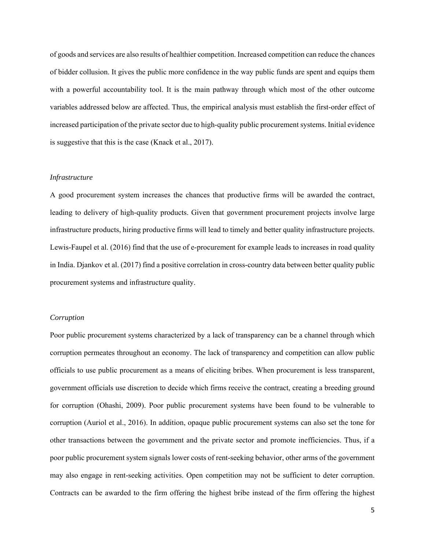of goods and services are also results of healthier competition. Increased competition can reduce the chances of bidder collusion. It gives the public more confidence in the way public funds are spent and equips them with a powerful accountability tool. It is the main pathway through which most of the other outcome variables addressed below are affected. Thus, the empirical analysis must establish the first-order effect of increased participation of the private sector due to high-quality public procurement systems. Initial evidence is suggestive that this is the case (Knack et al., 2017).

#### *Infrastructure*

A good procurement system increases the chances that productive firms will be awarded the contract, leading to delivery of high-quality products. Given that government procurement projects involve large infrastructure products, hiring productive firms will lead to timely and better quality infrastructure projects. Lewis-Faupel et al. (2016) find that the use of e-procurement for example leads to increases in road quality in India. Djankov et al. (2017) find a positive correlation in cross-country data between better quality public procurement systems and infrastructure quality.

#### *Corruption*

Poor public procurement systems characterized by a lack of transparency can be a channel through which corruption permeates throughout an economy. The lack of transparency and competition can allow public officials to use public procurement as a means of eliciting bribes. When procurement is less transparent, government officials use discretion to decide which firms receive the contract, creating a breeding ground for corruption (Ohashi, 2009). Poor public procurement systems have been found to be vulnerable to corruption (Auriol et al., 2016). In addition, opaque public procurement systems can also set the tone for other transactions between the government and the private sector and promote inefficiencies. Thus, if a poor public procurement system signals lower costs of rent-seeking behavior, other arms of the government may also engage in rent-seeking activities. Open competition may not be sufficient to deter corruption. Contracts can be awarded to the firm offering the highest bribe instead of the firm offering the highest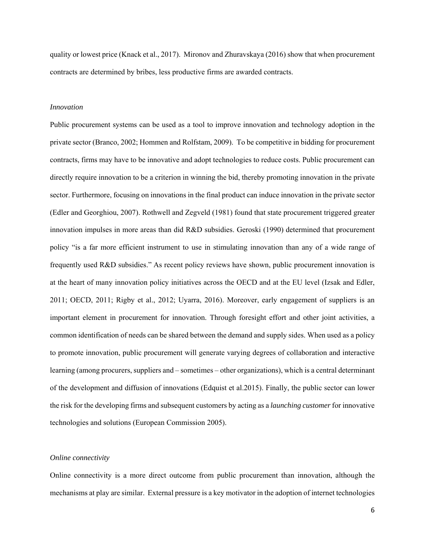quality or lowest price (Knack et al., 2017). Mironov and Zhuravskaya (2016) show that when procurement contracts are determined by bribes, less productive firms are awarded contracts.

#### *Innovation*

Public procurement systems can be used as a tool to improve innovation and technology adoption in the private sector (Branco, 2002; Hommen and Rolfstam, 2009). To be competitive in bidding for procurement contracts, firms may have to be innovative and adopt technologies to reduce costs. Public procurement can directly require innovation to be a criterion in winning the bid, thereby promoting innovation in the private sector. Furthermore, focusing on innovations in the final product can induce innovation in the private sector (Edler and Georghiou, 2007). Rothwell and Zegveld (1981) found that state procurement triggered greater innovation impulses in more areas than did R&D subsidies. Geroski (1990) determined that procurement policy "is a far more efficient instrument to use in stimulating innovation than any of a wide range of frequently used R&D subsidies." As recent policy reviews have shown, public procurement innovation is at the heart of many innovation policy initiatives across the OECD and at the EU level (Izsak and Edler, 2011; OECD, 2011; Rigby et al., 2012; Uyarra, 2016). Moreover, early engagement of suppliers is an important element in procurement for innovation. Through foresight effort and other joint activities, a common identification of needs can be shared between the demand and supply sides. When used as a policy to promote innovation, public procurement will generate varying degrees of collaboration and interactive learning (among procurers, suppliers and – sometimes – other organizations), which is a central determinant of the development and diffusion of innovations (Edquist et al.2015). Finally, the public sector can lower the risk for the developing firms and subsequent customers by acting as a *launching customer* for innovative technologies and solutions (European Commission 2005).

#### *Online connectivity*

Online connectivity is a more direct outcome from public procurement than innovation, although the mechanisms at play are similar. External pressure is a key motivator in the adoption of internet technologies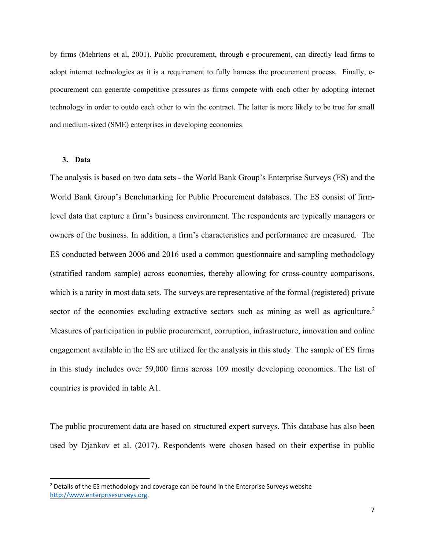by firms (Mehrtens et al, 2001). Public procurement, through e-procurement, can directly lead firms to adopt internet technologies as it is a requirement to fully harness the procurement process. Finally, eprocurement can generate competitive pressures as firms compete with each other by adopting internet technology in order to outdo each other to win the contract. The latter is more likely to be true for small and medium-sized (SME) enterprises in developing economies.

#### **3. Data**

The analysis is based on two data sets - the World Bank Group's Enterprise Surveys (ES) and the World Bank Group's Benchmarking for Public Procurement databases. The ES consist of firmlevel data that capture a firm's business environment. The respondents are typically managers or owners of the business. In addition, a firm's characteristics and performance are measured. The ES conducted between 2006 and 2016 used a common questionnaire and sampling methodology (stratified random sample) across economies, thereby allowing for cross-country comparisons, which is a rarity in most data sets. The surveys are representative of the formal (registered) private sector of the economies excluding extractive sectors such as mining as well as agriculture.<sup>2</sup> Measures of participation in public procurement, corruption, infrastructure, innovation and online engagement available in the ES are utilized for the analysis in this study. The sample of ES firms in this study includes over 59,000 firms across 109 mostly developing economies. The list of countries is provided in table A1.

The public procurement data are based on structured expert surveys. This database has also been used by Djankov et al. (2017). Respondents were chosen based on their expertise in public

 $2$  Details of the ES methodology and coverage can be found in the Enterprise Surveys website http://www.enterprisesurveys.org.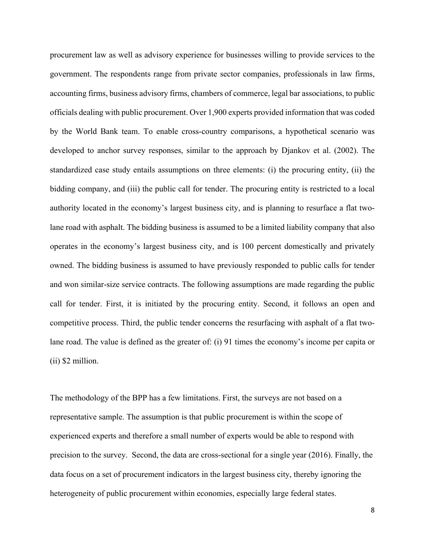procurement law as well as advisory experience for businesses willing to provide services to the government. The respondents range from private sector companies, professionals in law firms, accounting firms, business advisory firms, chambers of commerce, legal bar associations, to public officials dealing with public procurement. Over 1,900 experts provided information that was coded by the World Bank team. To enable cross-country comparisons, a hypothetical scenario was developed to anchor survey responses, similar to the approach by Djankov et al. (2002). The standardized case study entails assumptions on three elements: (i) the procuring entity, (ii) the bidding company, and (iii) the public call for tender. The procuring entity is restricted to a local authority located in the economy's largest business city, and is planning to resurface a flat twolane road with asphalt. The bidding business is assumed to be a limited liability company that also operates in the economy's largest business city, and is 100 percent domestically and privately owned. The bidding business is assumed to have previously responded to public calls for tender and won similar-size service contracts. The following assumptions are made regarding the public call for tender. First, it is initiated by the procuring entity. Second, it follows an open and competitive process. Third, the public tender concerns the resurfacing with asphalt of a flat twolane road. The value is defined as the greater of: (i) 91 times the economy's income per capita or (ii) \$2 million.

The methodology of the BPP has a few limitations. First, the surveys are not based on a representative sample. The assumption is that public procurement is within the scope of experienced experts and therefore a small number of experts would be able to respond with precision to the survey. Second, the data are cross-sectional for a single year (2016). Finally, the data focus on a set of procurement indicators in the largest business city, thereby ignoring the heterogeneity of public procurement within economies, especially large federal states.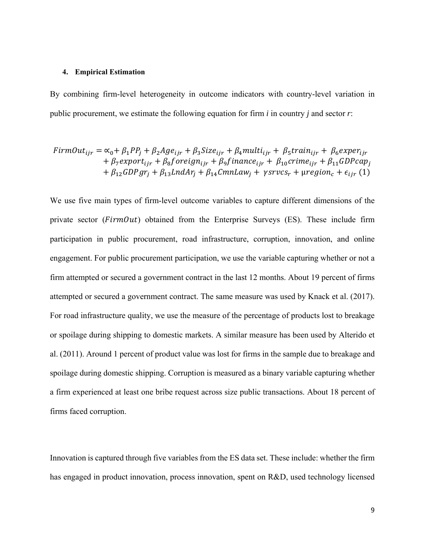#### **4. Empirical Estimation**

By combining firm-level heterogeneity in outcome indicators with country-level variation in public procurement, we estimate the following equation for firm *i* in country *j* and sector *r*:

$$
FirmOut_{ijr} = \alpha_0 + \beta_1 PP_j + \beta_2 Age_{ijr} + \beta_3 Size_{ijr} + \beta_4 multi_{ijr} + \beta_5 train_{ijr} + \beta_6 exper_{ijr} + \beta_7 export_{ijr} + \beta_8 forceign_{ijr} + \beta_9 finance_{ijr} + \beta_{10} crime_{ijr} + \beta_{11} GDPcap_j + \beta_{12} GDPgr_j + \beta_{13} LandAr_j + \beta_{14} CmnLaw_j + \gamma srvcs_r + \mu region_c + \epsilon_{ijr} (1)
$$

We use five main types of firm-level outcome variables to capture different dimensions of the private sector ( $FirmOut$ ) obtained from the Enterprise Surveys (ES). These include firm participation in public procurement, road infrastructure, corruption, innovation, and online engagement. For public procurement participation, we use the variable capturing whether or not a firm attempted or secured a government contract in the last 12 months. About 19 percent of firms attempted or secured a government contract. The same measure was used by Knack et al. (2017). For road infrastructure quality, we use the measure of the percentage of products lost to breakage or spoilage during shipping to domestic markets. A similar measure has been used by Alterido et al. (2011). Around 1 percent of product value was lost for firms in the sample due to breakage and spoilage during domestic shipping. Corruption is measured as a binary variable capturing whether a firm experienced at least one bribe request across size public transactions. About 18 percent of firms faced corruption.

Innovation is captured through five variables from the ES data set. These include: whether the firm has engaged in product innovation, process innovation, spent on R&D, used technology licensed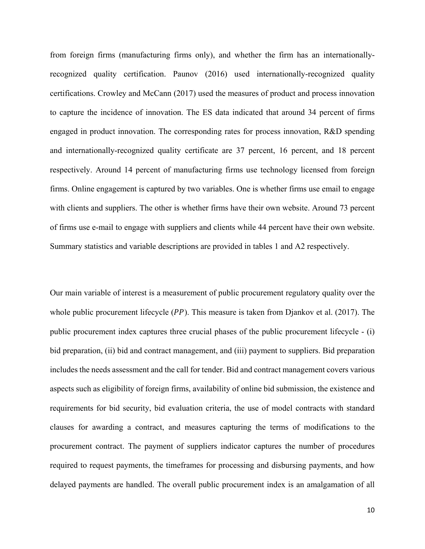from foreign firms (manufacturing firms only), and whether the firm has an internationallyrecognized quality certification. Paunov (2016) used internationally-recognized quality certifications. Crowley and McCann (2017) used the measures of product and process innovation to capture the incidence of innovation. The ES data indicated that around 34 percent of firms engaged in product innovation. The corresponding rates for process innovation, R&D spending and internationally-recognized quality certificate are 37 percent, 16 percent, and 18 percent respectively. Around 14 percent of manufacturing firms use technology licensed from foreign firms. Online engagement is captured by two variables. One is whether firms use email to engage with clients and suppliers. The other is whether firms have their own website. Around 73 percent of firms use e-mail to engage with suppliers and clients while 44 percent have their own website. Summary statistics and variable descriptions are provided in tables 1 and A2 respectively.

Our main variable of interest is a measurement of public procurement regulatory quality over the whole public procurement lifecycle  $(PP)$ . This measure is taken from Djankov et al. (2017). The public procurement index captures three crucial phases of the public procurement lifecycle - (i) bid preparation, (ii) bid and contract management, and (iii) payment to suppliers. Bid preparation includes the needs assessment and the call for tender. Bid and contract management covers various aspects such as eligibility of foreign firms, availability of online bid submission, the existence and requirements for bid security, bid evaluation criteria, the use of model contracts with standard clauses for awarding a contract, and measures capturing the terms of modifications to the procurement contract. The payment of suppliers indicator captures the number of procedures required to request payments, the timeframes for processing and disbursing payments, and how delayed payments are handled. The overall public procurement index is an amalgamation of all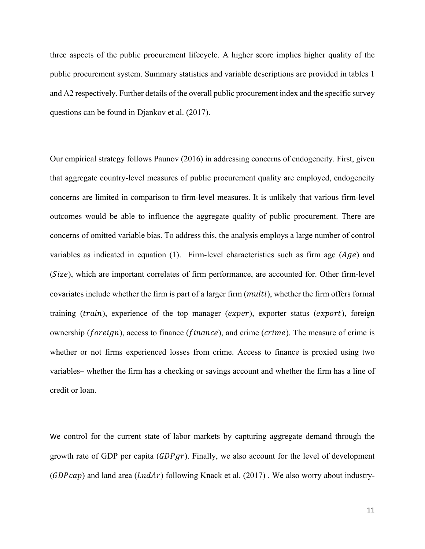three aspects of the public procurement lifecycle. A higher score implies higher quality of the public procurement system. Summary statistics and variable descriptions are provided in tables 1 and A2 respectively. Further details of the overall public procurement index and the specific survey questions can be found in Djankov et al. (2017).

Our empirical strategy follows Paunov (2016) in addressing concerns of endogeneity. First, given that aggregate country-level measures of public procurement quality are employed, endogeneity concerns are limited in comparison to firm-level measures. It is unlikely that various firm-level outcomes would be able to influence the aggregate quality of public procurement. There are concerns of omitted variable bias. To address this, the analysis employs a large number of control variables as indicated in equation (1). Firm-level characteristics such as firm age  $(Age)$  and (Size), which are important correlates of firm performance, are accounted for. Other firm-level covariates include whether the firm is part of a larger firm (*multi*), whether the firm offers formal training (train), experience of the top manager (exper), exporter status (export), foreign ownership ( $foreign$ ), access to finance ( $finance$ ), and crime ( $crime$ ). The measure of crime is whether or not firms experienced losses from crime. Access to finance is proxied using two variables– whether the firm has a checking or savings account and whether the firm has a line of credit or loan.

We control for the current state of labor markets by capturing aggregate demand through the growth rate of GDP per capita  $(GDPgr)$ . Finally, we also account for the level of development  $(GDPcap)$  and land area  $(LndAr)$  following Knack et al. (2017). We also worry about industry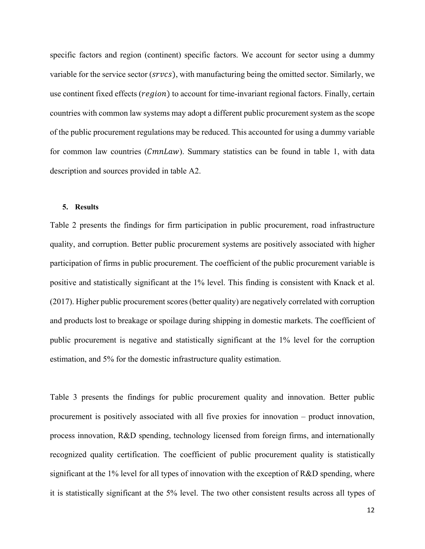specific factors and region (continent) specific factors. We account for sector using a dummy variable for the service sector ( $srvcs$ ), with manufacturing being the omitted sector. Similarly, we use continent fixed effects (region) to account for time-invariant regional factors. Finally, certain countries with common law systems may adopt a different public procurement system as the scope of the public procurement regulations may be reduced. This accounted for using a dummy variable for common law countries (CmnLaw). Summary statistics can be found in table 1, with data description and sources provided in table A2.

#### **5. Results**

Table 2 presents the findings for firm participation in public procurement, road infrastructure quality, and corruption. Better public procurement systems are positively associated with higher participation of firms in public procurement. The coefficient of the public procurement variable is positive and statistically significant at the 1% level. This finding is consistent with Knack et al. (2017). Higher public procurement scores (better quality) are negatively correlated with corruption and products lost to breakage or spoilage during shipping in domestic markets. The coefficient of public procurement is negative and statistically significant at the 1% level for the corruption estimation, and 5% for the domestic infrastructure quality estimation.

Table 3 presents the findings for public procurement quality and innovation. Better public procurement is positively associated with all five proxies for innovation – product innovation, process innovation, R&D spending, technology licensed from foreign firms, and internationally recognized quality certification. The coefficient of public procurement quality is statistically significant at the 1% level for all types of innovation with the exception of R&D spending, where it is statistically significant at the 5% level. The two other consistent results across all types of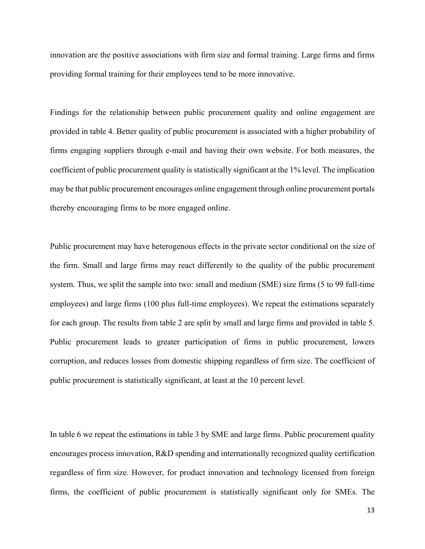innovation are the positive associations with firm size and formal training. Large firms and firms providing formal training for their employees tend to be more innovative.

Findings for the relationship between public procurement quality and online engagement are provided in table 4. Better quality of public procurement is associated with a higher probability of firms engaging suppliers through e-mail and having their own website. For both measures, the coefficient of public procurement quality is statistically significant at the 1% level. The implication may be that public procurement encourages online engagement through online procurement portals thereby encouraging firms to be more engaged online.

Public procurement may have heterogenous effects in the private sector conditional on the size of the firm. Small and large firms may react differently to the quality of the public procurement system. Thus, we split the sample into two: small and medium (SME) size firms (5 to 99 full-time employees) and large firms (100 plus full-time employees). We repeat the estimations separately for each group. The results from table 2 are split by small and large firms and provided in table 5. Public procurement leads to greater participation of firms in public procurement, lowers corruption, and reduces losses from domestic shipping regardless of firm size. The coefficient of public procurement is statistically significant, at least at the 10 percent level.

In table 6 we repeat the estimations in table 3 by SME and large firms. Public procurement quality encourages process innovation, R&D spending and internationally recognized quality certification regardless of firm size. However, for product innovation and technology licensed from foreign firms, the coefficient of public procurement is statistically significant only for SMEs. The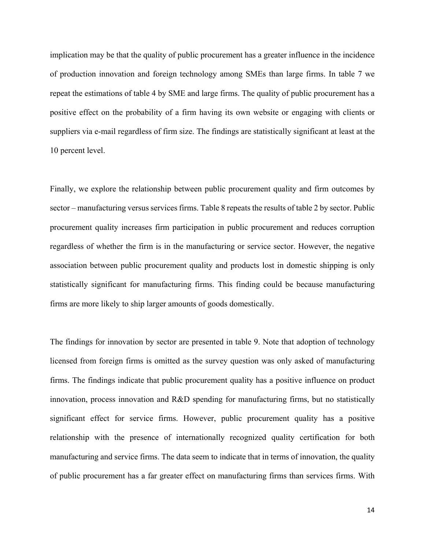implication may be that the quality of public procurement has a greater influence in the incidence of production innovation and foreign technology among SMEs than large firms. In table 7 we repeat the estimations of table 4 by SME and large firms. The quality of public procurement has a positive effect on the probability of a firm having its own website or engaging with clients or suppliers via e-mail regardless of firm size. The findings are statistically significant at least at the 10 percent level.

Finally, we explore the relationship between public procurement quality and firm outcomes by sector – manufacturing versus services firms. Table 8 repeats the results of table 2 by sector. Public procurement quality increases firm participation in public procurement and reduces corruption regardless of whether the firm is in the manufacturing or service sector. However, the negative association between public procurement quality and products lost in domestic shipping is only statistically significant for manufacturing firms. This finding could be because manufacturing firms are more likely to ship larger amounts of goods domestically.

The findings for innovation by sector are presented in table 9. Note that adoption of technology licensed from foreign firms is omitted as the survey question was only asked of manufacturing firms. The findings indicate that public procurement quality has a positive influence on product innovation, process innovation and R&D spending for manufacturing firms, but no statistically significant effect for service firms. However, public procurement quality has a positive relationship with the presence of internationally recognized quality certification for both manufacturing and service firms. The data seem to indicate that in terms of innovation, the quality of public procurement has a far greater effect on manufacturing firms than services firms. With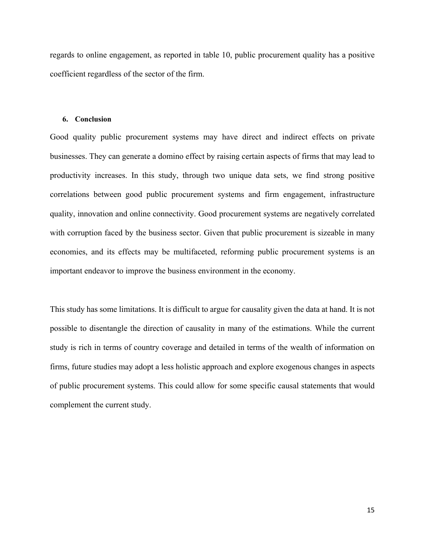regards to online engagement, as reported in table 10, public procurement quality has a positive coefficient regardless of the sector of the firm.

#### **6. Conclusion**

Good quality public procurement systems may have direct and indirect effects on private businesses. They can generate a domino effect by raising certain aspects of firms that may lead to productivity increases. In this study, through two unique data sets, we find strong positive correlations between good public procurement systems and firm engagement, infrastructure quality, innovation and online connectivity. Good procurement systems are negatively correlated with corruption faced by the business sector. Given that public procurement is sizeable in many economies, and its effects may be multifaceted, reforming public procurement systems is an important endeavor to improve the business environment in the economy.

This study has some limitations. It is difficult to argue for causality given the data at hand. It is not possible to disentangle the direction of causality in many of the estimations. While the current study is rich in terms of country coverage and detailed in terms of the wealth of information on firms, future studies may adopt a less holistic approach and explore exogenous changes in aspects of public procurement systems. This could allow for some specific causal statements that would complement the current study.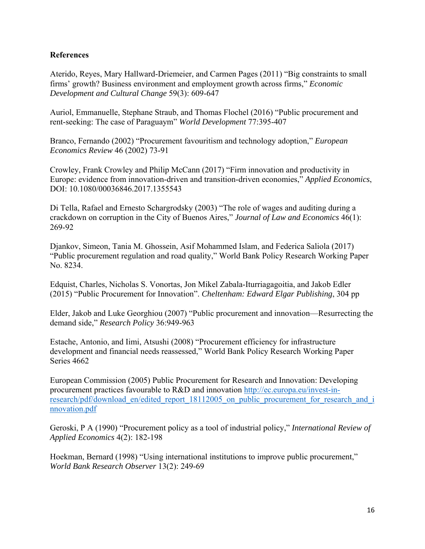### **References**

Aterido, Reyes, Mary Hallward-Driemeier, and Carmen Pages (2011) "Big constraints to small firms' growth? Business environment and employment growth across firms," *Economic Development and Cultural Change* 59(3): 609-647

Auriol, Emmanuelle, Stephane Straub, and Thomas Flochel (2016) "Public procurement and rent-seeking: The case of Paraguaym" *World Development* 77:395-407

Branco, Fernando (2002) "Procurement favouritism and technology adoption," *European Economics Review* 46 (2002) 73-91

Crowley, Frank Crowley and Philip McCann (2017) "Firm innovation and productivity in Europe: evidence from innovation-driven and transition-driven economies," *Applied Economics*, DOI: 10.1080/00036846.2017.1355543

Di Tella, Rafael and Ernesto Schargrodsky (2003) "The role of wages and auditing during a crackdown on corruption in the City of Buenos Aires," *Journal of Law and Economics* 46(1): 269-92

Djankov, Simeon, Tania M. Ghossein, Asif Mohammed Islam, and Federica Saliola (2017) "Public procurement regulation and road quality," World Bank Policy Research Working Paper No. 8234.

Edquist, Charles, Nicholas S. Vonortas, Jon Mikel Zabala-Iturriagagoitia, and Jakob Edler (2015) "Public Procurement for Innovation". *Cheltenham: Edward Elgar Publishing*, 304 pp

Elder, Jakob and Luke Georghiou (2007) "Public procurement and innovation—Resurrecting the demand side," *Research Policy* 36:949-963

Estache, Antonio, and Iimi, Atsushi (2008) "Procurement efficiency for infrastructure development and financial needs reassessed," World Bank Policy Research Working Paper Series 4662

European Commission (2005) Public Procurement for Research and Innovation: Developing procurement practices favourable to R&D and innovation http://ec.europa.eu/invest-inresearch/pdf/download\_en/edited\_report\_18112005\_on\_public\_procurement\_for\_research\_and\_i nnovation.pdf

Geroski, P A (1990) "Procurement policy as a tool of industrial policy," *International Review of Applied Economics* 4(2): 182-198

Hoekman, Bernard (1998) "Using international institutions to improve public procurement," *World Bank Research Observer* 13(2): 249-69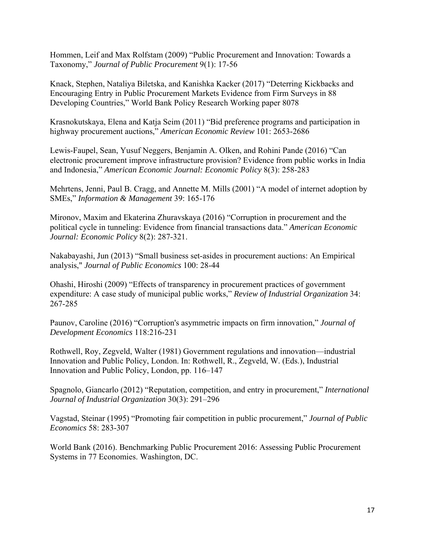Hommen, Leif and Max Rolfstam (2009) "Public Procurement and Innovation: Towards a Taxonomy," *Journal of Public Procurement* 9(1): 17-56

Knack, Stephen, Nataliya Biletska, and Kanishka Kacker (2017) "Deterring Kickbacks and Encouraging Entry in Public Procurement Markets Evidence from Firm Surveys in 88 Developing Countries," World Bank Policy Research Working paper 8078

Krasnokutskaya, Elena and Katja Seim (2011) "Bid preference programs and participation in highway procurement auctions," *American Economic Review* 101: 2653-2686

Lewis-Faupel, Sean, Yusuf Neggers, Benjamin A. Olken, and Rohini Pande (2016) "Can electronic procurement improve infrastructure provision? Evidence from public works in India and Indonesia," *American Economic Journal: Economic Policy* 8(3): 258-283

Mehrtens, Jenni, Paul B. Cragg, and Annette M. Mills (2001) "A model of internet adoption by SMEs," *Information & Management* 39: 165-176

Mironov, Maxim and Ekaterina Zhuravskaya (2016) "Corruption in procurement and the political cycle in tunneling: Evidence from financial transactions data." *American Economic Journal: Economic Policy* 8(2): 287-321.

Nakabayashi, Jun (2013) "Small business set-asides in procurement auctions: An Empirical analysis," *Journal of Public Economics* 100: 28-44

Ohashi, Hiroshi (2009) "Effects of transparency in procurement practices of government expenditure: A case study of municipal public works," *Review of Industrial Organization* 34: 267-285

Paunov, Caroline (2016) "Corruption's asymmetric impacts on firm innovation," *Journal of Development Economics* 118:216-231

Rothwell, Roy, Zegveld, Walter (1981) Government regulations and innovation—industrial Innovation and Public Policy, London. In: Rothwell, R., Zegveld, W. (Eds.), Industrial Innovation and Public Policy, London, pp. 116–147

Spagnolo, Giancarlo (2012) "Reputation, competition, and entry in procurement," *International Journal of Industrial Organization* 30(3): 291–296

Vagstad, Steinar (1995) "Promoting fair competition in public procurement," *Journal of Public Economics* 58: 283-307

World Bank (2016). Benchmarking Public Procurement 2016: Assessing Public Procurement Systems in 77 Economies. Washington, DC.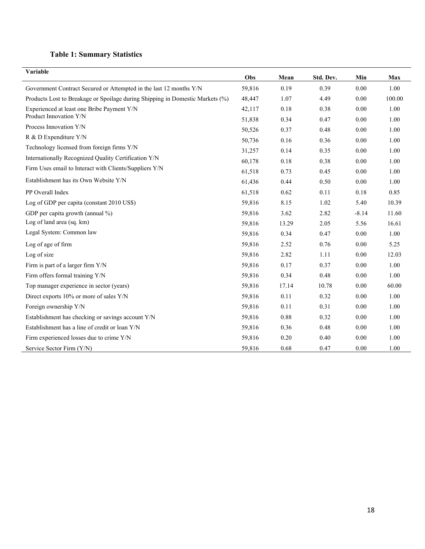# **Table 1: Summary Statistics**

| Variable                                                                      | Obs    | Mean  | Std. Dev. | Min     | Max    |
|-------------------------------------------------------------------------------|--------|-------|-----------|---------|--------|
| Government Contract Secured or Attempted in the last 12 months Y/N            | 59,816 | 0.19  | 0.39      | 0.00    | 1.00   |
| Products Lost to Breakage or Spoilage during Shipping in Domestic Markets (%) | 48,447 | 1.07  | 4.49      | 0.00    | 100.00 |
| Experienced at least one Bribe Payment Y/N                                    | 42,117 | 0.18  | 0.38      | 0.00    | 1.00   |
| Product Innovation Y/N                                                        | 51,838 | 0.34  | 0.47      | 0.00    | 1.00   |
| Process Innovation Y/N                                                        | 50,526 | 0.37  | 0.48      | 0.00    | 1.00   |
| R & D Expenditure Y/N                                                         | 50,736 | 0.16  | 0.36      | 0.00    | 1.00   |
| Technology licensed from foreign firms Y/N                                    | 31,257 | 0.14  | 0.35      | 0.00    | 1.00   |
| Internationally Recognized Quality Certification Y/N                          | 60,178 | 0.18  | 0.38      | 0.00    | 1.00   |
| Firm Uses email to Interact with Clients/Suppliers Y/N                        | 61,518 | 0.73  | 0.45      | 0.00    | 1.00   |
| Establishment has its Own Website Y/N                                         | 61,436 | 0.44  | 0.50      | 0.00    | 1.00   |
| PP Overall Index                                                              | 61,518 | 0.62  | 0.11      | 0.18    | 0.85   |
| Log of GDP per capita (constant 2010 US\$)                                    | 59,816 | 8.15  | 1.02      | 5.40    | 10.39  |
| GDP per capita growth (annual %)                                              | 59,816 | 3.62  | 2.82      | $-8.14$ | 11.60  |
| Log of land area (sq. km)                                                     | 59,816 | 13.29 | 2.05      | 5.56    | 16.61  |
| Legal System: Common law                                                      | 59,816 | 0.34  | 0.47      | 0.00    | 1.00   |
| Log of age of firm                                                            | 59,816 | 2.52  | 0.76      | 0.00    | 5.25   |
| Log of size                                                                   | 59,816 | 2.82  | 1.11      | 0.00    | 12.03  |
| Firm is part of a larger firm Y/N                                             | 59,816 | 0.17  | 0.37      | 0.00    | 1.00   |
| Firm offers formal training Y/N                                               | 59,816 | 0.34  | 0.48      | 0.00    | 1.00   |
| Top manager experience in sector (years)                                      | 59,816 | 17.14 | 10.78     | 0.00    | 60.00  |
| Direct exports 10% or more of sales Y/N                                       | 59,816 | 0.11  | 0.32      | 0.00    | 1.00   |
| Foreign ownership Y/N                                                         | 59,816 | 0.11  | 0.31      | 0.00    | 1.00   |
| Establishment has checking or savings account Y/N                             | 59,816 | 0.88  | 0.32      | 0.00    | 1.00   |
| Establishment has a line of credit or loan Y/N                                | 59,816 | 0.36  | 0.48      | 0.00    | 1.00   |
| Firm experienced losses due to crime Y/N                                      | 59,816 | 0.20  | 0.40      | 0.00    | 1.00   |
| Service Sector Firm (Y/N)                                                     | 59,816 | 0.68  | 0.47      | 0.00    | 1.00   |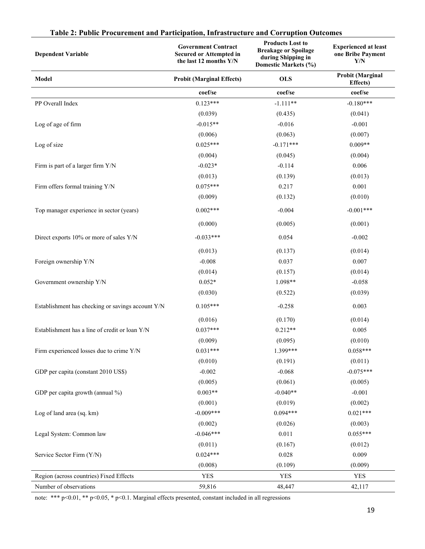| <b>Dependent Variable</b>                         | <b>Government Contract</b><br><b>Secured or Attempted in</b><br>the last 12 months Y/N | <b>Products Lost to</b><br><b>Breakage or Spoilage</b><br>during Shipping in<br>Domestic Markets (%) | <b>Experienced at least</b><br>one Bribe Payment<br>Y/N |
|---------------------------------------------------|----------------------------------------------------------------------------------------|------------------------------------------------------------------------------------------------------|---------------------------------------------------------|
| Model                                             | <b>Probit (Marginal Effects)</b>                                                       | <b>OLS</b>                                                                                           | <b>Probit (Marginal</b><br><b>Effects</b> )             |
|                                                   | coef/se                                                                                | coef/se                                                                                              | coef/se                                                 |
| PP Overall Index                                  | $0.123***$                                                                             | $-1.111**$                                                                                           | $-0.180***$                                             |
|                                                   | (0.039)                                                                                | (0.435)                                                                                              | (0.041)                                                 |
| Log of age of firm                                | $-0.015**$                                                                             | $-0.016$                                                                                             | $-0.001$                                                |
|                                                   | (0.006)                                                                                | (0.063)                                                                                              | (0.007)                                                 |
| Log of size                                       | $0.025***$                                                                             | $-0.171***$                                                                                          | $0.009**$                                               |
|                                                   | (0.004)                                                                                | (0.045)                                                                                              | (0.004)                                                 |
| Firm is part of a larger firm Y/N                 | $-0.023*$                                                                              | $-0.114$                                                                                             | 0.006                                                   |
|                                                   | (0.013)                                                                                | (0.139)                                                                                              | (0.013)                                                 |
| Firm offers formal training Y/N                   | $0.075***$                                                                             | 0.217                                                                                                | 0.001                                                   |
|                                                   | (0.009)                                                                                | (0.132)                                                                                              | (0.010)                                                 |
| Top manager experience in sector (years)          | $0.002***$                                                                             | $-0.004$                                                                                             | $-0.001***$                                             |
|                                                   | (0.000)                                                                                | (0.005)                                                                                              | (0.001)                                                 |
| Direct exports 10% or more of sales Y/N           | $-0.033***$                                                                            | 0.054                                                                                                | $-0.002$                                                |
|                                                   | (0.013)                                                                                | (0.137)                                                                                              | (0.014)                                                 |
| Foreign ownership Y/N                             | $-0.008$                                                                               | 0.037                                                                                                | 0.007                                                   |
|                                                   | (0.014)                                                                                | (0.157)                                                                                              | (0.014)                                                 |
| Government ownership Y/N                          | $0.052*$                                                                               | 1.098**                                                                                              | $-0.058$                                                |
|                                                   | (0.030)                                                                                | (0.522)                                                                                              | (0.039)                                                 |
| Establishment has checking or savings account Y/N | $0.105***$                                                                             | $-0.258$                                                                                             | 0.003                                                   |
|                                                   | (0.016)                                                                                | (0.170)                                                                                              | (0.014)                                                 |
| Establishment has a line of credit or loan Y/N    | $0.037***$                                                                             | $0.212**$                                                                                            | 0.005                                                   |
|                                                   | (0.009)                                                                                | (0.095)                                                                                              | (0.010)                                                 |
| Firm experienced losses due to crime Y/N          | $0.031***$                                                                             | 1.399***                                                                                             | $0.058***$                                              |
|                                                   | (0.010)                                                                                | (0.191)                                                                                              | (0.011)                                                 |
| GDP per capita (constant 2010 US\$)               | $-0.002$                                                                               | $-0.068$                                                                                             | $-0.075***$                                             |
|                                                   | (0.005)                                                                                | (0.061)                                                                                              | (0.005)                                                 |
| GDP per capita growth (annual %)                  | $0.003**$                                                                              | $-0.040**$                                                                                           | $-0.001$                                                |
|                                                   | (0.001)                                                                                | (0.019)                                                                                              | (0.002)                                                 |
| Log of land area (sq. km)                         | $-0.009***$                                                                            | $0.094***$                                                                                           | $0.021***$                                              |
|                                                   | (0.002)                                                                                | (0.026)                                                                                              | (0.003)                                                 |
| Legal System: Common law                          | $-0.046***$                                                                            | 0.011                                                                                                | $0.055***$                                              |
|                                                   | (0.011)                                                                                | (0.167)                                                                                              | (0.012)                                                 |
| Service Sector Firm (Y/N)                         | $0.024***$                                                                             | 0.028                                                                                                | 0.009                                                   |
|                                                   | (0.008)                                                                                | (0.109)                                                                                              | (0.009)                                                 |
| Region (across countries) Fixed Effects           | YES                                                                                    | <b>YES</b>                                                                                           | <b>YES</b>                                              |
| Number of observations                            | 59,816                                                                                 | 48,447                                                                                               | 42,117                                                  |

# **Table 2: Public Procurement and Participation, Infrastructure and Corruption Outcomes**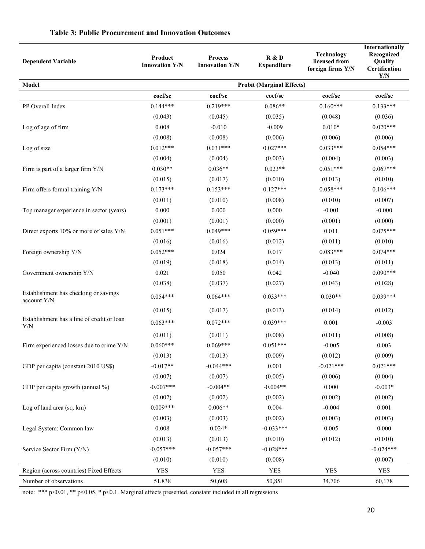| <b>Dependent Variable</b>                            | Product<br><b>Innovation Y/N</b> | <b>Process</b><br><b>Innovation Y/N</b> | R & D<br><b>Expenditure</b> | <b>Technology</b><br>licensed from<br>foreign firms Y/N | Internationally<br>Recognized<br>Quality<br>Certification<br>Y/N |  |  |  |  |  |
|------------------------------------------------------|----------------------------------|-----------------------------------------|-----------------------------|---------------------------------------------------------|------------------------------------------------------------------|--|--|--|--|--|
| Model                                                | <b>Probit (Marginal Effects)</b> |                                         |                             |                                                         |                                                                  |  |  |  |  |  |
|                                                      | coef/se                          | coef/se                                 | coef/se                     | coef/se                                                 | coef/se                                                          |  |  |  |  |  |
| PP Overall Index                                     | $0.144***$                       | $0.219***$                              | $0.086**$                   | $0.160***$                                              | $0.133***$                                                       |  |  |  |  |  |
|                                                      | (0.043)                          | (0.045)                                 | (0.035)                     | (0.048)                                                 | (0.036)                                                          |  |  |  |  |  |
| Log of age of firm                                   | 0.008                            | $-0.010$                                | $-0.009$                    | $0.010*$                                                | $0.020***$                                                       |  |  |  |  |  |
|                                                      | (0.008)                          | (0.008)                                 | (0.006)                     | (0.006)                                                 | (0.006)                                                          |  |  |  |  |  |
| Log of size                                          | $0.012***$                       | $0.031***$                              | $0.027***$                  | $0.033***$                                              | $0.054***$                                                       |  |  |  |  |  |
|                                                      | (0.004)                          | (0.004)                                 | (0.003)                     | (0.004)                                                 | (0.003)                                                          |  |  |  |  |  |
| Firm is part of a larger firm Y/N                    | $0.030**$                        | $0.036**$                               | $0.023**$                   | $0.051***$                                              | $0.067***$                                                       |  |  |  |  |  |
|                                                      | (0.015)                          | (0.017)                                 | (0.010)                     | (0.013)                                                 | (0.010)                                                          |  |  |  |  |  |
| Firm offers formal training Y/N                      | $0.173***$                       | $0.153***$                              | $0.127***$                  | $0.058***$                                              | $0.106***$                                                       |  |  |  |  |  |
|                                                      | (0.011)                          | (0.010)                                 | (0.008)                     | (0.010)                                                 | (0.007)                                                          |  |  |  |  |  |
| Top manager experience in sector (years)             | 0.000                            | 0.000                                   | 0.000                       | $-0.001$                                                | $-0.000$                                                         |  |  |  |  |  |
|                                                      | (0.001)                          | (0.001)                                 | (0.000)                     | (0.001)                                                 | (0.000)                                                          |  |  |  |  |  |
| Direct exports 10% or more of sales Y/N              | $0.051***$                       | $0.049***$                              | $0.059***$                  | 0.011                                                   | $0.075***$                                                       |  |  |  |  |  |
|                                                      | (0.016)                          | (0.016)                                 | (0.012)                     | (0.011)                                                 | (0.010)                                                          |  |  |  |  |  |
| Foreign ownership Y/N                                | $0.052***$                       | 0.024                                   | 0.017                       | $0.083***$                                              | $0.074***$                                                       |  |  |  |  |  |
|                                                      | (0.019)                          | (0.018)                                 | (0.014)                     | (0.013)                                                 | (0.011)                                                          |  |  |  |  |  |
| Government ownership Y/N                             | 0.021                            | 0.050                                   | 0.042                       | $-0.040$                                                | $0.090***$                                                       |  |  |  |  |  |
|                                                      | (0.038)                          | (0.037)                                 | (0.027)                     | (0.043)                                                 | (0.028)                                                          |  |  |  |  |  |
| Establishment has checking or savings<br>account Y/N | $0.054***$                       | $0.064***$                              | $0.033***$                  | $0.030**$                                               | $0.039***$                                                       |  |  |  |  |  |
|                                                      | (0.015)                          | (0.017)                                 | (0.013)                     | (0.014)                                                 | (0.012)                                                          |  |  |  |  |  |
| Establishment has a line of credit or loan<br>Y/N    | $0.063***$                       | $0.072***$                              | $0.039***$                  | 0.001                                                   | $-0.003$                                                         |  |  |  |  |  |
|                                                      | (0.011)                          | (0.011)                                 | (0.008)                     | (0.011)                                                 | (0.008)                                                          |  |  |  |  |  |
| Firm experienced losses due to crime Y/N             | $0.060***$                       | $0.069***$                              | $0.051***$                  | $-0.005$                                                | 0.003                                                            |  |  |  |  |  |
|                                                      | (0.013)                          | (0.013)                                 | (0.009)                     | (0.012)                                                 | (0.009)                                                          |  |  |  |  |  |
| GDP per capita (constant 2010 US\$)                  | $-0.017**$                       | $-0.044***$                             | 0.001                       | $-0.021***$                                             | $0.021***$                                                       |  |  |  |  |  |
|                                                      | (0.007)                          | (0.007)                                 | (0.005)                     | (0.006)                                                 | (0.004)                                                          |  |  |  |  |  |
| GDP per capita growth (annual %)                     | $-0.007***$                      | $-0.004**$                              | $-0.004**$                  | 0.000                                                   | $-0.003*$                                                        |  |  |  |  |  |
|                                                      | (0.002)                          | (0.002)                                 | (0.002)                     | (0.002)                                                 | (0.002)                                                          |  |  |  |  |  |
| Log of land area (sq. km)                            | $0.009***$                       | $0.006**$                               | 0.004                       | $-0.004$                                                | 0.001                                                            |  |  |  |  |  |
|                                                      | (0.003)                          | (0.003)                                 | (0.002)                     | (0.003)                                                 | (0.003)                                                          |  |  |  |  |  |
| Legal System: Common law                             | 0.008                            | $0.024*$                                | $-0.033***$                 | 0.005                                                   | 0.000                                                            |  |  |  |  |  |
|                                                      | (0.013)                          | (0.013)                                 | (0.010)                     | (0.012)                                                 | (0.010)                                                          |  |  |  |  |  |
| Service Sector Firm (Y/N)                            | $-0.057***$                      | $-0.057***$                             | $-0.028***$                 |                                                         | $-0.024***$                                                      |  |  |  |  |  |
|                                                      | (0.010)                          | (0.010)                                 | (0.008)                     |                                                         | (0.007)                                                          |  |  |  |  |  |
| Region (across countries) Fixed Effects              | <b>YES</b>                       | <b>YES</b>                              | <b>YES</b>                  | <b>YES</b>                                              | YES                                                              |  |  |  |  |  |
| Number of observations                               | 51,838                           | 50,608                                  | 50,851                      | 34,706                                                  | 60,178                                                           |  |  |  |  |  |

# **Table 3: Public Procurement and Innovation Outcomes**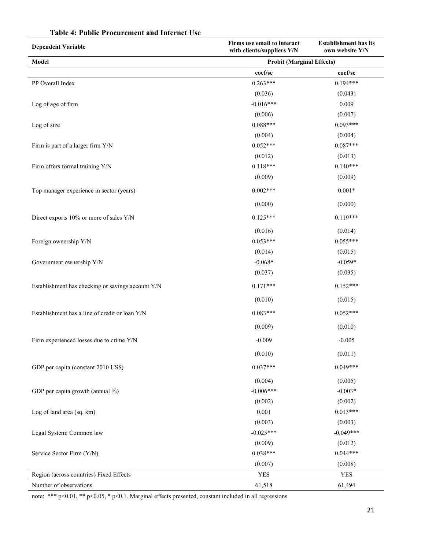| <b>Dependent Variable</b>                         | Firms use email to interact<br>with clients/suppliers Y/N | <b>Establishment has its</b><br>own website Y/N |  |  |
|---------------------------------------------------|-----------------------------------------------------------|-------------------------------------------------|--|--|
| Model                                             | <b>Probit (Marginal Effects)</b>                          |                                                 |  |  |
|                                                   | coef/se                                                   | coef/se                                         |  |  |
| PP Overall Index                                  | $0.263***$                                                | $0.194***$                                      |  |  |
|                                                   | (0.036)                                                   | (0.043)                                         |  |  |
| Log of age of firm                                | $-0.016***$                                               | 0.009                                           |  |  |
|                                                   | (0.006)                                                   | (0.007)                                         |  |  |
| Log of size                                       | $0.088***$                                                | $0.093***$                                      |  |  |
|                                                   | (0.004)                                                   | (0.004)                                         |  |  |
| Firm is part of a larger firm Y/N                 | $0.052***$                                                | $0.087***$                                      |  |  |
|                                                   | (0.012)                                                   | (0.013)                                         |  |  |
| Firm offers formal training Y/N                   | $0.118***$                                                | $0.140***$                                      |  |  |
|                                                   | (0.009)                                                   | (0.009)                                         |  |  |
| Top manager experience in sector (years)          | $0.002***$                                                | $0.001*$                                        |  |  |
|                                                   | (0.000)                                                   | (0.000)                                         |  |  |
| Direct exports 10% or more of sales Y/N           | $0.125***$                                                | $0.119***$                                      |  |  |
|                                                   | (0.016)                                                   | (0.014)                                         |  |  |
| Foreign ownership Y/N                             | $0.053***$                                                | $0.055***$                                      |  |  |
|                                                   | (0.014)                                                   | (0.015)                                         |  |  |
| Government ownership Y/N                          | $-0.068*$                                                 | $-0.059*$                                       |  |  |
|                                                   | (0.037)                                                   | (0.035)                                         |  |  |
| Establishment has checking or savings account Y/N | $0.171***$                                                | $0.152***$                                      |  |  |
|                                                   | (0.010)                                                   | (0.015)                                         |  |  |
| Establishment has a line of credit or loan Y/N    | $0.083***$                                                | $0.052***$                                      |  |  |
|                                                   | (0.009)                                                   | (0.010)                                         |  |  |
| Firm experienced losses due to crime Y/N          | $-0.009$                                                  | $-0.005$                                        |  |  |
|                                                   | (0.010)                                                   | (0.011)                                         |  |  |
| GDP per capita (constant 2010 US\$)               | $0.037***$                                                | $0.049***$                                      |  |  |
|                                                   | (0.004)                                                   | (0.005)                                         |  |  |
| GDP per capita growth (annual %)                  | $-0.006***$                                               | $-0.003*$                                       |  |  |
|                                                   | (0.002)                                                   | (0.002)                                         |  |  |
| Log of land area (sq. km)                         | 0.001                                                     | $0.013***$                                      |  |  |
|                                                   | (0.003)                                                   | (0.003)                                         |  |  |
| Legal System: Common law                          | $-0.025***$                                               | $-0.049***$                                     |  |  |
|                                                   | (0.009)                                                   | (0.012)                                         |  |  |
| Service Sector Firm (Y/N)                         | $0.038***$                                                | $0.044***$                                      |  |  |
|                                                   | (0.007)                                                   | (0.008)                                         |  |  |
| Region (across countries) Fixed Effects           | <b>YES</b>                                                | <b>YES</b>                                      |  |  |
| Number of observations                            | 61,518                                                    | 61,494                                          |  |  |

# **Table 4: Public Procurement and Internet Use**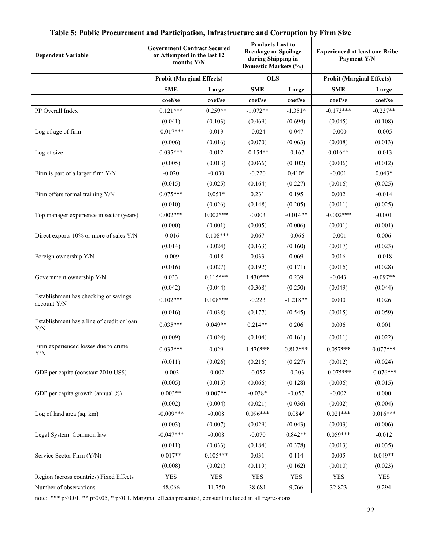| <b>Dependent Variable</b>                            | <b>Government Contract Secured</b><br>or Attempted in the last 12<br>months Y/N |             |            | <b>Products Lost to</b><br><b>Breakage or Spoilage</b><br>during Shipping in<br>Domestic Markets (%) |                                  | <b>Experienced at least one Bribe</b><br>Payment Y/N |
|------------------------------------------------------|---------------------------------------------------------------------------------|-------------|------------|------------------------------------------------------------------------------------------------------|----------------------------------|------------------------------------------------------|
|                                                      | <b>Probit (Marginal Effects)</b>                                                |             | <b>OLS</b> |                                                                                                      | <b>Probit (Marginal Effects)</b> |                                                      |
|                                                      | <b>SME</b>                                                                      | Large       | <b>SME</b> | Large                                                                                                | <b>SME</b>                       | Large                                                |
|                                                      | coef/se                                                                         | coef/se     | coef/se    | coef/se                                                                                              | coef/se                          | coef/se                                              |
| PP Overall Index                                     | $0.121***$                                                                      | $0.259**$   | $-1.072**$ | $-1.351*$                                                                                            | $-0.173***$                      | $-0.237**$                                           |
|                                                      | (0.041)                                                                         | (0.103)     | (0.469)    | (0.694)                                                                                              | (0.045)                          | (0.108)                                              |
| Log of age of firm                                   | $-0.017***$                                                                     | 0.019       | $-0.024$   | 0.047                                                                                                | $-0.000$                         | $-0.005$                                             |
|                                                      | (0.006)                                                                         | (0.016)     | (0.070)    | (0.063)                                                                                              | (0.008)                          | (0.013)                                              |
| Log of size                                          | $0.035***$                                                                      | 0.012       | $-0.154**$ | $-0.167$                                                                                             | $0.016**$                        | $-0.013$                                             |
|                                                      | (0.005)                                                                         | (0.013)     | (0.066)    | (0.102)                                                                                              | (0.006)                          | (0.012)                                              |
| Firm is part of a larger firm Y/N                    | $-0.020$                                                                        | $-0.030$    | $-0.220$   | $0.410*$                                                                                             | $-0.001$                         | $0.043*$                                             |
|                                                      | (0.015)                                                                         | (0.025)     | (0.164)    | (0.227)                                                                                              | (0.016)                          | (0.025)                                              |
| Firm offers formal training Y/N                      | $0.075***$                                                                      | $0.051*$    | 0.231      | 0.195                                                                                                | 0.002                            | $-0.014$                                             |
|                                                      | (0.010)                                                                         | (0.026)     | (0.148)    | (0.205)                                                                                              | (0.011)                          | (0.025)                                              |
| Top manager experience in sector (years)             | $0.002***$                                                                      | $0.002***$  | $-0.003$   | $-0.014**$                                                                                           | $-0.002***$                      | $-0.001$                                             |
|                                                      | (0.000)                                                                         | (0.001)     | (0.005)    | (0.006)                                                                                              | (0.001)                          | (0.001)                                              |
| Direct exports 10% or more of sales Y/N              | $-0.016$                                                                        | $-0.108***$ | 0.067      | $-0.066$                                                                                             | $-0.001$                         | 0.006                                                |
|                                                      | (0.014)                                                                         | (0.024)     | (0.163)    | (0.160)                                                                                              | (0.017)                          | (0.023)                                              |
| Foreign ownership Y/N                                | $-0.009$                                                                        | 0.018       | 0.033      | 0.069                                                                                                | 0.016                            | $-0.018$                                             |
|                                                      | (0.016)                                                                         | (0.027)     | (0.192)    | (0.171)                                                                                              | (0.016)                          | (0.028)                                              |
| Government ownership Y/N                             | 0.033                                                                           | $0.115***$  | $1.430***$ | 0.239                                                                                                | $-0.043$                         | $-0.097**$                                           |
|                                                      | (0.042)                                                                         | (0.044)     | (0.368)    | (0.250)                                                                                              | (0.049)                          | (0.044)                                              |
| Establishment has checking or savings<br>account Y/N | $0.102***$                                                                      | $0.108***$  | $-0.223$   | $-1.218**$                                                                                           | 0.000                            | 0.026                                                |
|                                                      | (0.016)                                                                         | (0.038)     | (0.177)    | (0.545)                                                                                              | (0.015)                          | (0.059)                                              |
| Establishment has a line of credit or loan<br>Y/N    | $0.035***$                                                                      | $0.049**$   | $0.214**$  | 0.206                                                                                                | 0.006                            | 0.001                                                |
|                                                      | (0.009)                                                                         | (0.024)     | (0.104)    | (0.161)                                                                                              | (0.011)                          | (0.022)                                              |
| Firm experienced losses due to crime<br>Y/N          | $0.032***$                                                                      | 0.029       | $1.476***$ | $0.812***$                                                                                           | $0.057***$                       | $0.077***$                                           |
|                                                      | (0.011)                                                                         | (0.026)     | (0.216)    | (0.227)                                                                                              | (0.012)                          | (0.024)                                              |
| GDP per capita (constant 2010 US\$)                  | $-0.003$                                                                        | $-0.002$    | $-0.052$   | $-0.203$                                                                                             | $-0.075***$                      | $-0.076***$                                          |
|                                                      | (0.005)                                                                         | (0.015)     | (0.066)    | (0.128)                                                                                              | (0.006)                          | (0.015)                                              |
| GDP per capita growth (annual %)                     | $0.003**$                                                                       | $0.007**$   | $-0.038*$  | $-0.057$                                                                                             | $-0.002$                         | 0.000                                                |
|                                                      | (0.002)                                                                         | (0.004)     | (0.021)    | (0.036)                                                                                              | (0.002)                          | (0.004)                                              |
| Log of land area (sq. km)                            | $-0.009***$                                                                     | $-0.008$    | $0.096***$ | $0.084*$                                                                                             | $0.021***$                       | $0.016***$                                           |
|                                                      | (0.003)                                                                         | (0.007)     | (0.029)    | (0.043)                                                                                              | (0.003)                          | (0.006)                                              |
| Legal System: Common law                             | $-0.047***$                                                                     | $-0.008$    | $-0.070$   | $0.842**$                                                                                            | $0.059***$                       | $-0.012$                                             |
|                                                      | (0.011)                                                                         | (0.033)     | (0.184)    | (0.378)                                                                                              | (0.013)                          | (0.035)                                              |
| Service Sector Firm (Y/N)                            | $0.017**$                                                                       | $0.105***$  | 0.031      | 0.114                                                                                                | 0.005                            | $0.049**$                                            |
|                                                      | (0.008)                                                                         | (0.021)     | (0.119)    | (0.162)                                                                                              | (0.010)                          | (0.023)                                              |
| Region (across countries) Fixed Effects              | <b>YES</b>                                                                      | YES         | <b>YES</b> | <b>YES</b>                                                                                           | <b>YES</b>                       | <b>YES</b>                                           |
| Number of observations                               | 48,066                                                                          | 11,750      | 38,681     | 9,766                                                                                                | 32,823                           | 9,294                                                |

# **Table 5: Public Procurement and Participation, Infrastructure and Corruption by Firm Size**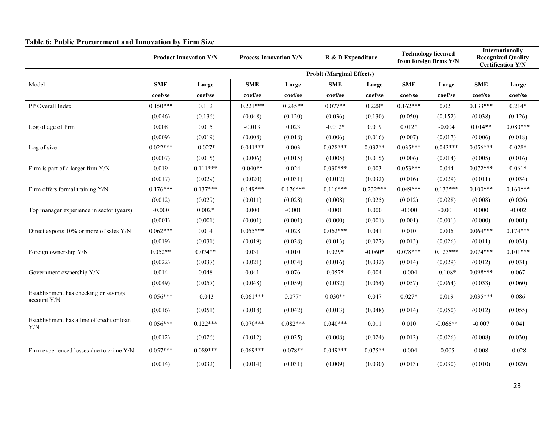|                                                      |                                  | <b>Product Innovation Y/N</b> | <b>Process Innovation Y/N</b> |            | R & D Expenditure |            | <b>Technology licensed</b><br>from foreign firms Y/N |            | <b>Internationally</b><br><b>Recognized Quality</b><br><b>Certification Y/N</b> |            |
|------------------------------------------------------|----------------------------------|-------------------------------|-------------------------------|------------|-------------------|------------|------------------------------------------------------|------------|---------------------------------------------------------------------------------|------------|
|                                                      | <b>Probit (Marginal Effects)</b> |                               |                               |            |                   |            |                                                      |            |                                                                                 |            |
| Model                                                | <b>SME</b>                       | Large                         | <b>SME</b>                    | Large      | <b>SME</b>        | Large      | <b>SME</b>                                           | Large      | <b>SME</b>                                                                      | Large      |
|                                                      | coef/se                          | coef/se                       | coef/se                       | coef/se    | coef/se           | coef/se    | coef/se                                              | coef/se    | coef/se                                                                         | coef/se    |
| PP Overall Index                                     | $0.150***$                       | 0.112                         | $0.221***$                    | $0.245**$  | $0.077**$         | $0.228*$   | $0.162***$                                           | 0.021      | $0.133***$                                                                      | $0.214*$   |
|                                                      | (0.046)                          | (0.136)                       | (0.048)                       | (0.120)    | (0.036)           | (0.130)    | (0.050)                                              | (0.152)    | (0.038)                                                                         | (0.126)    |
| Log of age of firm                                   | 0.008                            | 0.015                         | $-0.013$                      | 0.023      | $-0.012*$         | 0.019      | $0.012*$                                             | $-0.004$   | $0.014**$                                                                       | $0.080***$ |
|                                                      | (0.009)                          | (0.019)                       | (0.008)                       | (0.018)    | (0.006)           | (0.016)    | (0.007)                                              | (0.017)    | (0.006)                                                                         | (0.018)    |
| Log of size                                          | $0.022***$                       | $-0.027*$                     | $0.041***$                    | 0.003      | $0.028***$        | $0.032**$  | $0.035***$                                           | $0.043***$ | $0.056***$                                                                      | $0.028*$   |
|                                                      | (0.007)                          | (0.015)                       | (0.006)                       | (0.015)    | (0.005)           | (0.015)    | (0.006)                                              | (0.014)    | (0.005)                                                                         | (0.016)    |
| Firm is part of a larger firm Y/N                    | 0.019                            | $0.111***$                    | $0.040**$                     | 0.024      | $0.030***$        | 0.003      | $0.053***$                                           | 0.044      | $0.072***$                                                                      | $0.061*$   |
|                                                      | (0.017)                          | (0.029)                       | (0.020)                       | (0.031)    | (0.012)           | (0.032)    | (0.016)                                              | (0.029)    | (0.011)                                                                         | (0.034)    |
| Firm offers formal training Y/N                      | $0.176***$                       | $0.137***$                    | $0.149***$                    | $0.176***$ | $0.116***$        | $0.232***$ | $0.049***$                                           | $0.133***$ | $0.100***$                                                                      | $0.160***$ |
|                                                      | (0.012)                          | (0.029)                       | (0.011)                       | (0.028)    | (0.008)           | (0.025)    | (0.012)                                              | (0.028)    | (0.008)                                                                         | (0.026)    |
| Top manager experience in sector (years)             | $-0.000$                         | $0.002*$                      | 0.000                         | $-0.001$   | 0.001             | 0.000      | $-0.000$                                             | $-0.001$   | 0.000                                                                           | $-0.002$   |
|                                                      | (0.001)                          | (0.001)                       | (0.001)                       | (0.001)    | (0.000)           | (0.001)    | (0.001)                                              | (0.001)    | (0.000)                                                                         | (0.001)    |
| Direct exports 10% or more of sales Y/N              | $0.062***$                       | 0.014                         | $0.055***$                    | 0.028      | $0.062***$        | 0.041      | 0.010                                                | 0.006      | $0.064***$                                                                      | $0.174***$ |
|                                                      | (0.019)                          | (0.031)                       | (0.019)                       | (0.028)    | (0.013)           | (0.027)    | (0.013)                                              | (0.026)    | (0.011)                                                                         | (0.031)    |
| Foreign ownership Y/N                                | $0.052**$                        | $0.074**$                     | 0.031                         | 0.010      | $0.029*$          | $-0.060*$  | $0.078***$                                           | $0.123***$ | $0.074***$                                                                      | $0.101***$ |
|                                                      | (0.022)                          | (0.037)                       | (0.021)                       | (0.034)    | (0.016)           | (0.032)    | (0.014)                                              | (0.029)    | (0.012)                                                                         | (0.031)    |
| Government ownership Y/N                             | 0.014                            | 0.048                         | 0.041                         | 0.076      | $0.057*$          | 0.004      | $-0.004$                                             | $-0.108*$  | $0.098***$                                                                      | 0.067      |
|                                                      | (0.049)                          | (0.057)                       | (0.048)                       | (0.059)    | (0.032)           | (0.054)    | (0.057)                                              | (0.064)    | (0.033)                                                                         | (0.060)    |
| Establishment has checking or savings<br>account Y/N | $0.056***$                       | $-0.043$                      | $0.061***$                    | $0.077*$   | $0.030**$         | 0.047      | $0.027*$                                             | 0.019      | $0.035***$                                                                      | 0.086      |
|                                                      | (0.016)                          | (0.051)                       | (0.018)                       | (0.042)    | (0.013)           | (0.048)    | (0.014)                                              | (0.050)    | (0.012)                                                                         | (0.055)    |
| Establishment has a line of credit or loan<br>Y/N    | $0.056***$                       | $0.122***$                    | $0.070***$                    | $0.082***$ | $0.040***$        | 0.011      | 0.010                                                | $-0.066**$ | $-0.007$                                                                        | 0.041      |
|                                                      | (0.012)                          | (0.026)                       | (0.012)                       | (0.025)    | (0.008)           | (0.024)    | (0.012)                                              | (0.026)    | (0.008)                                                                         | (0.030)    |
| Firm experienced losses due to crime Y/N             | $0.057***$                       | $0.089***$                    | $0.069***$                    | $0.078**$  | $0.049***$        | $0.075**$  | $-0.004$                                             | $-0.005$   | 0.008                                                                           | $-0.028$   |
|                                                      | (0.014)                          | (0.032)                       | (0.014)                       | (0.031)    | (0.009)           | (0.030)    | (0.013)                                              | (0.030)    | (0.010)                                                                         | (0.029)    |

#### **Table 6: Public Procurement and Innovation by Firm Size**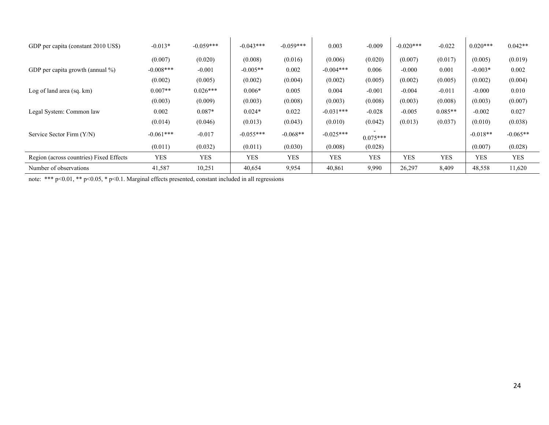| GDP per capita (constant 2010 US\$)     | $-0.013*$   | $-0.059***$ | $-0.043***$ | $-0.059***$ | 0.003       | $-0.009$   | $-0.020***$ | $-0.022$   | $0.020***$ | $0.042**$  |
|-----------------------------------------|-------------|-------------|-------------|-------------|-------------|------------|-------------|------------|------------|------------|
|                                         | (0.007)     | (0.020)     | (0.008)     | (0.016)     | (0.006)     | (0.020)    | (0.007)     | (0.017)    | (0.005)    | (0.019)    |
| GDP per capita growth (annual $\%$ )    | $-0.008***$ | $-0.001$    | $-0.005**$  | 0.002       | $-0.004***$ | 0.006      | $-0.000$    | 0.001      | $-0.003*$  | 0.002      |
|                                         | (0.002)     | (0.005)     | (0.002)     | (0.004)     | (0.002)     | (0.005)    | (0.002)     | (0.005)    | (0.002)    | (0.004)    |
| Log of land area (sq. km)               | $0.007**$   | $0.026***$  | $0.006*$    | 0.005       | 0.004       | $-0.001$   | $-0.004$    | $-0.011$   | $-0.000$   | 0.010      |
|                                         | (0.003)     | (0.009)     | (0.003)     | (0.008)     | (0.003)     | (0.008)    | (0.003)     | (0.008)    | (0.003)    | (0.007)    |
| Legal System: Common law                | 0.002       | $0.087*$    | $0.024*$    | 0.022       | $-0.031***$ | $-0.028$   | $-0.005$    | $0.085**$  | $-0.002$   | 0.027      |
|                                         | (0.014)     | (0.046)     | (0.013)     | (0.043)     | (0.010)     | (0.042)    | (0.013)     | (0.037)    | (0.010)    | (0.038)    |
| Service Sector Firm (Y/N)               | $-0.061***$ | $-0.017$    | $-0.055***$ | $-0.068**$  | $-0.025***$ | $0.075***$ |             |            | $-0.018**$ | $-0.065**$ |
|                                         | (0.011)     | (0.032)     | (0.011)     | (0.030)     | (0.008)     | (0.028)    |             |            | (0.007)    | (0.028)    |
| Region (across countries) Fixed Effects | <b>YES</b>  | YES         | <b>YES</b>  | <b>YES</b>  | <b>YES</b>  | <b>YES</b> | <b>YES</b>  | <b>YES</b> | <b>YES</b> | YES        |
| Number of observations                  | 41,587      | 10,251      | 40,654      | 9,954       | 40,861      | 9,990      | 26,297      | 8,409      | 48,558     | 11,620     |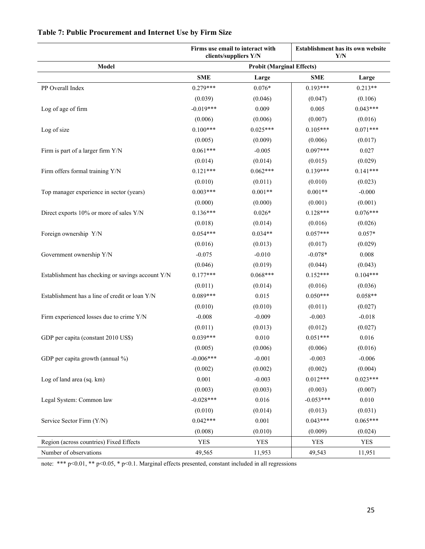|                                                   |             | Firms use email to interact with<br>clients/suppliers Y/N | Establishment has its own website<br>Y/N |            |  |
|---------------------------------------------------|-------------|-----------------------------------------------------------|------------------------------------------|------------|--|
| Model                                             |             | <b>Probit (Marginal Effects)</b>                          |                                          |            |  |
|                                                   | <b>SME</b>  | Large                                                     | <b>SME</b>                               | Large      |  |
| PP Overall Index                                  | $0.279***$  | $0.076*$                                                  | $0.193***$                               | $0.213**$  |  |
|                                                   | (0.039)     | (0.046)                                                   | (0.047)                                  | (0.106)    |  |
| Log of age of firm                                | $-0.019***$ | 0.009                                                     | 0.005                                    | $0.043***$ |  |
|                                                   | (0.006)     | (0.006)                                                   | (0.007)                                  | (0.016)    |  |
| Log of size                                       | $0.100***$  | $0.025***$                                                | $0.105***$                               | $0.071***$ |  |
|                                                   | (0.005)     | (0.009)                                                   | (0.006)                                  | (0.017)    |  |
| Firm is part of a larger firm Y/N                 | $0.061***$  | $-0.005$                                                  | $0.097***$                               | 0.027      |  |
|                                                   | (0.014)     | (0.014)                                                   | (0.015)                                  | (0.029)    |  |
| Firm offers formal training Y/N                   | $0.121***$  | $0.062***$                                                | $0.139***$                               | $0.141***$ |  |
|                                                   | (0.010)     | (0.011)                                                   | (0.010)                                  | (0.023)    |  |
| Top manager experience in sector (years)          | $0.003***$  | $0.001**$                                                 | $0.001**$                                | $-0.000$   |  |
|                                                   | (0.000)     | (0.000)                                                   | (0.001)                                  | (0.001)    |  |
| Direct exports 10% or more of sales Y/N           | $0.136***$  | $0.026*$                                                  | $0.128***$                               | $0.076***$ |  |
|                                                   | (0.018)     | (0.014)                                                   | (0.016)                                  | (0.026)    |  |
| Foreign ownership Y/N                             | $0.054***$  | $0.034**$                                                 | $0.057***$                               | $0.057*$   |  |
|                                                   | (0.016)     | (0.013)                                                   | (0.017)                                  | (0.029)    |  |
| Government ownership Y/N                          | $-0.075$    | $-0.010$                                                  | $-0.078*$                                | 0.008      |  |
|                                                   | (0.046)     | (0.019)                                                   | (0.044)                                  | (0.043)    |  |
| Establishment has checking or savings account Y/N | $0.177***$  | $0.068***$                                                | $0.152***$                               | $0.104***$ |  |
|                                                   | (0.011)     | (0.014)                                                   | (0.016)                                  | (0.036)    |  |
| Establishment has a line of credit or loan Y/N    | $0.089***$  | 0.015                                                     | $0.050***$                               | $0.058**$  |  |
|                                                   | (0.010)     | (0.010)                                                   | (0.011)                                  | (0.027)    |  |
| Firm experienced losses due to crime Y/N          | $-0.008$    | $-0.009$                                                  | $-0.003$                                 | $-0.018$   |  |
|                                                   | (0.011)     | (0.013)                                                   | (0.012)                                  | (0.027)    |  |
| GDP per capita (constant 2010 US\$)               | $0.039***$  | 0.010                                                     | $0.051***$                               | 0.016      |  |
|                                                   | (0.005)     | (0.006)                                                   | (0.006)                                  | (0.016)    |  |
| GDP per capita growth (annual %)                  | $-0.006***$ | $-0.001$                                                  | $-0.003$                                 | $-0.006$   |  |
|                                                   | (0.002)     | (0.002)                                                   | (0.002)                                  | (0.004)    |  |
| Log of land area (sq. km)                         | 0.001       | $-0.003$                                                  | $0.012***$                               | $0.023***$ |  |
|                                                   | (0.003)     | (0.003)                                                   | (0.003)                                  | (0.007)    |  |
| Legal System: Common law                          | $-0.028***$ | 0.016                                                     | $-0.053***$                              | 0.010      |  |
|                                                   | (0.010)     | (0.014)                                                   | (0.013)                                  | (0.031)    |  |
| Service Sector Firm (Y/N)                         | $0.042***$  | 0.001                                                     | $0.043***$                               | $0.065***$ |  |
|                                                   | (0.008)     | (0.010)                                                   | (0.009)                                  | (0.024)    |  |
| Region (across countries) Fixed Effects           | <b>YES</b>  | <b>YES</b>                                                | <b>YES</b>                               | <b>YES</b> |  |
| Number of observations                            | 49,565      | 11,953                                                    | 49,543                                   | 11,951     |  |

# **Table 7: Public Procurement and Internet Use by Firm Size**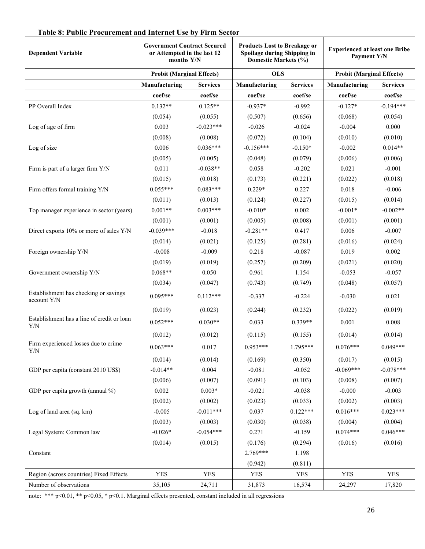| <b>Dependent Variable</b>                            | <b>Government Contract Secured</b><br>or Attempted in the last 12<br>months Y/N |                 | <b>Products Lost to Breakage or</b><br>Spoilage during Shipping in<br>Domestic Markets (%) |                 | <b>Experienced at least one Bribe</b><br>Payment Y/N |                 |
|------------------------------------------------------|---------------------------------------------------------------------------------|-----------------|--------------------------------------------------------------------------------------------|-----------------|------------------------------------------------------|-----------------|
|                                                      | <b>Probit (Marginal Effects)</b>                                                |                 | <b>OLS</b>                                                                                 |                 | <b>Probit (Marginal Effects)</b>                     |                 |
|                                                      | Manufacturing                                                                   | <b>Services</b> | Manufacturing                                                                              | <b>Services</b> | Manufacturing                                        | <b>Services</b> |
|                                                      | coef/se                                                                         | coef/se         | coef/se                                                                                    | coef/se         | coef/se                                              | coef/se         |
| PP Overall Index                                     | $0.132**$                                                                       | $0.125**$       | $-0.937*$                                                                                  | $-0.992$        | $-0.127*$                                            | $-0.194***$     |
|                                                      | (0.054)                                                                         | (0.055)         | (0.507)                                                                                    | (0.656)         | (0.068)                                              | (0.054)         |
| Log of age of firm                                   | 0.003                                                                           | $-0.023***$     | $-0.026$                                                                                   | $-0.024$        | $-0.004$                                             | 0.000           |
|                                                      | (0.008)                                                                         | (0.008)         | (0.072)                                                                                    | (0.104)         | (0.010)                                              | (0.010)         |
| Log of size                                          | 0.006                                                                           | $0.036***$      | $-0.156***$                                                                                | $-0.150*$       | $-0.002$                                             | $0.014**$       |
|                                                      | (0.005)                                                                         | (0.005)         | (0.048)                                                                                    | (0.079)         | (0.006)                                              | (0.006)         |
| Firm is part of a larger firm Y/N                    | 0.011                                                                           | $-0.038**$      | 0.058                                                                                      | $-0.202$        | 0.021                                                | $-0.001$        |
|                                                      | (0.015)                                                                         | (0.018)         | (0.173)                                                                                    | (0.221)         | (0.022)                                              | (0.018)         |
| Firm offers formal training Y/N                      | $0.055***$                                                                      | $0.083***$      | $0.229*$                                                                                   | 0.227           | 0.018                                                | $-0.006$        |
|                                                      | (0.011)                                                                         | (0.013)         | (0.124)                                                                                    | (0.227)         | (0.015)                                              | (0.014)         |
| Top manager experience in sector (years)             | $0.001**$                                                                       | $0.003***$      | $-0.010*$                                                                                  | 0.002           | $-0.001*$                                            | $-0.002**$      |
|                                                      | (0.001)                                                                         | (0.001)         | (0.005)                                                                                    | (0.008)         | (0.001)                                              | (0.001)         |
| Direct exports 10% or more of sales Y/N              | $-0.039***$                                                                     | $-0.018$        | $-0.281**$                                                                                 | 0.417           | 0.006                                                | $-0.007$        |
|                                                      | (0.014)                                                                         | (0.021)         | (0.125)                                                                                    | (0.281)         | (0.016)                                              | (0.024)         |
| Foreign ownership Y/N                                | $-0.008$                                                                        | $-0.009$        | 0.218                                                                                      | $-0.087$        | 0.019                                                | 0.002           |
|                                                      | (0.019)                                                                         | (0.019)         | (0.257)                                                                                    | (0.209)         | (0.021)                                              | (0.020)         |
| Government ownership Y/N                             | $0.068**$                                                                       | 0.050           | 0.961                                                                                      | 1.154           | $-0.053$                                             | $-0.057$        |
|                                                      | (0.034)                                                                         | (0.047)         | (0.743)                                                                                    | (0.749)         | (0.048)                                              | (0.057)         |
| Establishment has checking or savings<br>account Y/N | $0.095***$                                                                      | $0.112***$      | $-0.337$                                                                                   | $-0.224$        | $-0.030$                                             | 0.021           |
|                                                      | (0.019)                                                                         | (0.023)         | (0.244)                                                                                    | (0.232)         | (0.022)                                              | (0.019)         |
| Establishment has a line of credit or loan<br>Y/N    | $0.052***$                                                                      | $0.030**$       | 0.033                                                                                      | $0.339**$       | 0.001                                                | 0.008           |
|                                                      | (0.012)                                                                         | (0.012)         | (0.115)                                                                                    | (0.155)         | (0.014)                                              | (0.014)         |
| Firm experienced losses due to crime<br>${\rm Y/N}$  | $0.063***$                                                                      | 0.017           | $0.953***$                                                                                 | 1.795***        | $0.076***$                                           | $0.049***$      |
|                                                      | (0.014)                                                                         | (0.014)         | (0.169)                                                                                    | (0.350)         | (0.017)                                              | (0.015)         |
| GDP per capita (constant 2010 US\$)                  | $-0.014**$                                                                      | 0.004           | $-0.081$                                                                                   | $-0.052$        | $-0.069***$                                          | $-0.078***$     |
|                                                      | (0.006)                                                                         | (0.007)         | (0.091)                                                                                    | (0.103)         | (0.008)                                              | (0.007)         |
| GDP per capita growth (annual %)                     | 0.002                                                                           | $0.003*$        | $-0.021$                                                                                   | $-0.038$        | $-0.000$                                             | $-0.003$        |
|                                                      | (0.002)                                                                         | (0.002)         | (0.023)                                                                                    | (0.033)         | (0.002)                                              | (0.003)         |
| Log of land area (sq. km)                            | $-0.005$                                                                        | $-0.011***$     | 0.037                                                                                      | $0.122***$      | $0.016***$                                           | $0.023***$      |
|                                                      | (0.003)                                                                         | (0.003)         | (0.030)                                                                                    | (0.038)         | (0.004)                                              | (0.004)         |
| Legal System: Common law                             | $-0.026*$                                                                       | $-0.054***$     | 0.271                                                                                      | $-0.159$        | $0.074***$                                           | $0.046***$      |
|                                                      | (0.014)                                                                         | (0.015)         | (0.176)                                                                                    | (0.294)         | (0.016)                                              | (0.016)         |
| Constant                                             |                                                                                 |                 | 2.769***                                                                                   | 1.198           |                                                      |                 |
|                                                      |                                                                                 |                 | (0.942)                                                                                    | (0.811)         |                                                      |                 |
| Region (across countries) Fixed Effects              | <b>YES</b>                                                                      | <b>YES</b>      | <b>YES</b>                                                                                 | <b>YES</b>      | <b>YES</b>                                           | <b>YES</b>      |
| Number of observations                               | 35,105                                                                          | 24,711          | 31,873                                                                                     | 16,574          | 24,297                                               | 17,820          |

# **Table 8: Public Procurement and Internet Use by Firm Sector**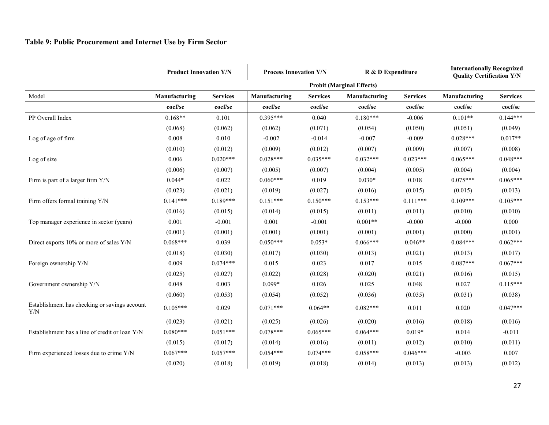|                                                      | <b>Product Innovation Y/N</b> |                 |               | <b>Process Innovation Y/N</b> |                                  | R & D Expenditure |               | <b>Internationally Recognized</b><br><b>Quality Certification Y/N</b> |  |
|------------------------------------------------------|-------------------------------|-----------------|---------------|-------------------------------|----------------------------------|-------------------|---------------|-----------------------------------------------------------------------|--|
|                                                      |                               |                 |               |                               | <b>Probit (Marginal Effects)</b> |                   |               |                                                                       |  |
| Model                                                | Manufacturing                 | <b>Services</b> | Manufacturing | <b>Services</b>               | Manufacturing                    | <b>Services</b>   | Manufacturing | <b>Services</b>                                                       |  |
|                                                      | coef/se                       | coef/se         | coef/se       | coef/se                       | coef/se                          | coef/se           | coef/se       | coef/se                                                               |  |
| PP Overall Index                                     | $0.168**$                     | 0.101           | $0.395***$    | 0.040                         | $0.180***$                       | $-0.006$          | $0.101**$     | $0.144***$                                                            |  |
|                                                      | (0.068)                       | (0.062)         | (0.062)       | (0.071)                       | (0.054)                          | (0.050)           | (0.051)       | (0.049)                                                               |  |
| Log of age of firm                                   | 0.008                         | 0.010           | $-0.002$      | $-0.014$                      | $-0.007$                         | $-0.009$          | $0.028***$    | $0.017**$                                                             |  |
|                                                      | (0.010)                       | (0.012)         | (0.009)       | (0.012)                       | (0.007)                          | (0.009)           | (0.007)       | (0.008)                                                               |  |
| Log of size                                          | 0.006                         | $0.020***$      | $0.028***$    | $0.035***$                    | $0.032***$                       | $0.023***$        | $0.065***$    | $0.048***$                                                            |  |
|                                                      | (0.006)                       | (0.007)         | (0.005)       | (0.007)                       | (0.004)                          | (0.005)           | (0.004)       | (0.004)                                                               |  |
| Firm is part of a larger firm Y/N                    | $0.044*$                      | 0.022           | $0.060***$    | 0.019                         | $0.030*$                         | 0.018             | $0.075***$    | $0.065***$                                                            |  |
|                                                      | (0.023)                       | (0.021)         | (0.019)       | (0.027)                       | (0.016)                          | (0.015)           | (0.015)       | (0.013)                                                               |  |
| Firm offers formal training Y/N                      | $0.141***$                    | $0.189***$      | $0.151***$    | $0.150***$                    | $0.153***$                       | $0.111***$        | $0.109***$    | $0.105***$                                                            |  |
|                                                      | (0.016)                       | (0.015)         | (0.014)       | (0.015)                       | (0.011)                          | (0.011)           | (0.010)       | (0.010)                                                               |  |
| Top manager experience in sector (years)             | 0.001                         | $-0.001$        | 0.001         | $-0.001$                      | $0.001**$                        | $-0.000$          | $-0.000$      | 0.000                                                                 |  |
|                                                      | (0.001)                       | (0.001)         | (0.001)       | (0.001)                       | (0.001)                          | (0.001)           | (0.000)       | (0.001)                                                               |  |
| Direct exports 10% or more of sales Y/N              | $0.068***$                    | 0.039           | $0.050***$    | $0.053*$                      | $0.066***$                       | $0.046**$         | $0.084***$    | $0.062***$                                                            |  |
|                                                      | (0.018)                       | (0.030)         | (0.017)       | (0.030)                       | (0.013)                          | (0.021)           | (0.013)       | (0.017)                                                               |  |
| Foreign ownership Y/N                                | 0.009                         | $0.074***$      | 0.015         | 0.023                         | 0.017                            | 0.015             | $0.087***$    | $0.067***$                                                            |  |
|                                                      | (0.025)                       | (0.027)         | (0.022)       | (0.028)                       | (0.020)                          | (0.021)           | (0.016)       | (0.015)                                                               |  |
| Government ownership Y/N                             | 0.048                         | 0.003           | $0.099*$      | 0.026                         | 0.025                            | 0.048             | 0.027         | $0.115***$                                                            |  |
|                                                      | (0.060)                       | (0.053)         | (0.054)       | (0.052)                       | (0.036)                          | (0.035)           | (0.031)       | (0.038)                                                               |  |
| Establishment has checking or savings account<br>Y/N | $0.105***$                    | 0.029           | $0.071***$    | $0.064**$                     | $0.082***$                       | 0.011             | 0.020         | $0.047***$                                                            |  |
|                                                      | (0.023)                       | (0.021)         | (0.025)       | (0.026)                       | (0.020)                          | (0.016)           | (0.018)       | (0.016)                                                               |  |
| Establishment has a line of credit or loan Y/N       | $0.080***$                    | $0.051***$      | $0.078***$    | $0.065***$                    | $0.064***$                       | $0.019*$          | 0.014         | $-0.011$                                                              |  |
|                                                      | (0.015)                       | (0.017)         | (0.014)       | (0.016)                       | (0.011)                          | (0.012)           | (0.010)       | (0.011)                                                               |  |
| Firm experienced losses due to crime Y/N             | $0.067***$                    | $0.057***$      | $0.054***$    | $0.074***$                    | $0.058***$                       | $0.046***$        | $-0.003$      | 0.007                                                                 |  |
|                                                      | (0.020)                       | (0.018)         | (0.019)       | (0.018)                       | (0.014)                          | (0.013)           | (0.013)       | (0.012)                                                               |  |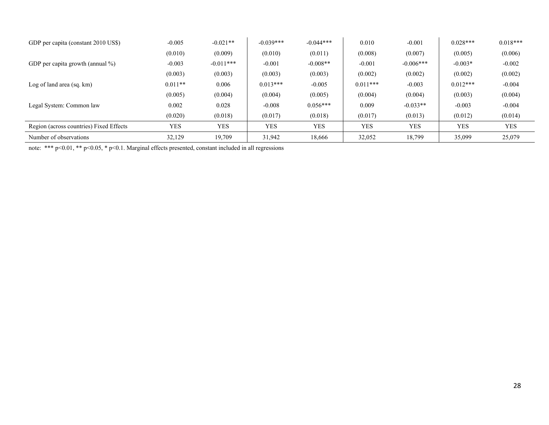| GDP per capita (constant 2010 US\$)     | $-0.005$   | $-0.021**$  | $-0.039***$ | $-0.044***$ | 0.010      | $-0.001$    | $0.028***$ | $0.018***$ |
|-----------------------------------------|------------|-------------|-------------|-------------|------------|-------------|------------|------------|
|                                         | (0.010)    | (0.009)     | (0.010)     | (0.011)     | (0.008)    | (0.007)     | (0.005)    | (0.006)    |
| GDP per capita growth (annual $\%$ )    | $-0.003$   | $-0.011***$ | $-0.001$    | $-0.008**$  | $-0.001$   | $-0.006***$ | $-0.003*$  | $-0.002$   |
|                                         | (0.003)    | (0.003)     | (0.003)     | (0.003)     | (0.002)    | (0.002)     | (0.002)    | (0.002)    |
| Log of land area $(sq, km)$             | $0.011**$  | 0.006       | $0.013***$  | $-0.005$    | $0.011***$ | $-0.003$    | $0.012***$ | $-0.004$   |
|                                         | (0.005)    | (0.004)     | (0.004)     | (0.005)     | (0.004)    | (0.004)     | (0.003)    | (0.004)    |
| Legal System: Common law                | 0.002      | 0.028       | $-0.008$    | $0.056***$  | 0.009      | $-0.033**$  | $-0.003$   | $-0.004$   |
|                                         | (0.020)    | (0.018)     | (0.017)     | (0.018)     | (0.017)    | (0.013)     | (0.012)    | (0.014)    |
| Region (across countries) Fixed Effects | <b>YES</b> | <b>YES</b>  | <b>YES</b>  | <b>YES</b>  | <b>YES</b> | <b>YES</b>  | <b>YES</b> | <b>YES</b> |
| Number of observations                  | 32,129     | 19,709      | 31,942      | 18,666      | 32,052     | 18,799      | 35,099     | 25,079     |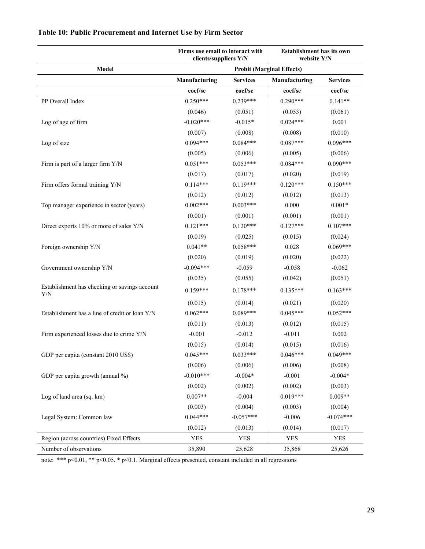|                                                      | Firms use email to interact with<br>clients/suppliers Y/N |                 | <b>Establishment has its own</b><br>website Y/N |                 |  |
|------------------------------------------------------|-----------------------------------------------------------|-----------------|-------------------------------------------------|-----------------|--|
| Model                                                |                                                           |                 | <b>Probit (Marginal Effects)</b>                |                 |  |
|                                                      | Manufacturing                                             | <b>Services</b> | Manufacturing                                   | <b>Services</b> |  |
|                                                      | coef/se                                                   | coef/se         | coef/se                                         | coef/se         |  |
| PP Overall Index                                     | $0.250***$                                                | $0.239***$      | $0.290***$                                      | $0.141**$       |  |
|                                                      | (0.046)                                                   | (0.051)         | (0.053)                                         | (0.061)         |  |
| Log of age of firm                                   | $-0.020***$                                               | $-0.015*$       | $0.024***$                                      | 0.001           |  |
|                                                      | (0.007)                                                   | (0.008)         | (0.008)                                         | (0.010)         |  |
| Log of size                                          | $0.094***$                                                | $0.084***$      | $0.087***$                                      | $0.096***$      |  |
|                                                      | (0.005)                                                   | (0.006)         | (0.005)                                         | (0.006)         |  |
| Firm is part of a larger firm Y/N                    | $0.051***$                                                | $0.053***$      | $0.084***$                                      | $0.090***$      |  |
|                                                      | (0.017)                                                   | (0.017)         | (0.020)                                         | (0.019)         |  |
| Firm offers formal training Y/N                      | $0.114***$                                                | $0.119***$      | $0.120***$                                      | $0.150***$      |  |
|                                                      | (0.012)                                                   | (0.012)         | (0.012)                                         | (0.013)         |  |
| Top manager experience in sector (years)             | $0.002***$                                                | $0.003***$      | 0.000                                           | $0.001*$        |  |
|                                                      | (0.001)                                                   | (0.001)         | (0.001)                                         | (0.001)         |  |
| Direct exports 10% or more of sales Y/N              | $0.121***$                                                | $0.120***$      | $0.127***$                                      | $0.107***$      |  |
|                                                      | (0.019)                                                   | (0.025)         | (0.015)                                         | (0.024)         |  |
| Foreign ownership Y/N                                | $0.041**$                                                 | $0.058***$      | 0.028                                           | $0.069***$      |  |
|                                                      | (0.020)                                                   | (0.019)         | (0.020)                                         | (0.022)         |  |
| Government ownership Y/N                             | $-0.094***$                                               | $-0.059$        | $-0.058$                                        | $-0.062$        |  |
|                                                      | (0.035)                                                   | (0.055)         | (0.042)                                         | (0.051)         |  |
| Establishment has checking or savings account<br>Y/N | $0.159***$                                                | $0.178***$      | $0.135***$                                      | $0.163***$      |  |
|                                                      | (0.015)                                                   | (0.014)         | (0.021)                                         | (0.020)         |  |
| Establishment has a line of credit or loan Y/N       | $0.062***$                                                | $0.089***$      | $0.045***$                                      | $0.052***$      |  |
|                                                      | (0.011)                                                   | (0.013)         | (0.012)                                         | (0.015)         |  |
| Firm experienced losses due to crime Y/N             | $-0.001$                                                  | $-0.012$        | $-0.011$                                        | 0.002           |  |
|                                                      | (0.015)                                                   | (0.014)         | (0.015)                                         | (0.016)         |  |
| GDP per capita (constant 2010 US\$)                  | $0.045***$                                                | $0.033***$      | $0.046***$                                      | $0.049***$      |  |
|                                                      | (0.006)                                                   | (0.006)         | (0.006)                                         | (0.008)         |  |
| GDP per capita growth (annual %)                     | $-0.010***$                                               | $-0.004*$       | $-0.001$                                        | $-0.004*$       |  |
|                                                      | (0.002)                                                   | (0.002)         | (0.002)                                         | (0.003)         |  |
| Log of land area (sq. km)                            | $0.007**$                                                 | $-0.004$        | $0.019***$                                      | $0.009**$       |  |
|                                                      | (0.003)                                                   | (0.004)         | (0.003)                                         | (0.004)         |  |
| Legal System: Common law                             | $0.044***$                                                | $-0.057***$     | $-0.006$                                        | $-0.074***$     |  |
|                                                      | (0.012)                                                   | (0.013)         | (0.014)                                         | (0.017)         |  |
| Region (across countries) Fixed Effects              | <b>YES</b>                                                | <b>YES</b>      | <b>YES</b>                                      | <b>YES</b>      |  |
| Number of observations                               | 35,890                                                    | 25,628          | 35,868                                          | 25,626          |  |

# **Table 10: Public Procurement and Internet Use by Firm Sector**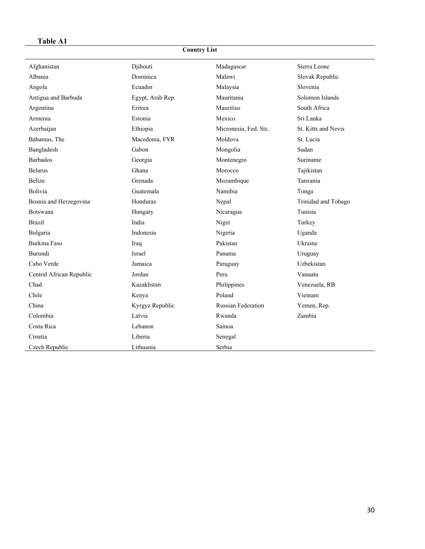# **Table A1**

# **Country List**

| Afghanistan              | Djibouti         | Madagascar                | Sierra Leone        |
|--------------------------|------------------|---------------------------|---------------------|
| Albania                  | Dominica         | Malawi                    | Slovak Republic     |
| Angola                   | Ecuador          | Malaysia                  | Slovenia            |
| Antigua and Barbuda      | Egypt, Arab Rep. | Mauritania                | Solomon Islands     |
| Argentina                | Eritrea          | Mauritius                 | South Africa        |
| Armenia                  | Estonia          | Mexico                    | Sri Lanka           |
| Azerbaijan               | Ethiopia         | Micronesia, Fed. Sts.     | St. Kitts and Nevis |
| Bahamas, The             | Macedonia, FYR   | Moldova                   | St. Lucia           |
| Bangladesh               | Gabon            | Mongolia                  | Sudan               |
| <b>Barbados</b>          | Georgia          | Montenegro                | Suriname            |
| <b>Belarus</b>           | Ghana            | Morocco                   | Tajikistan          |
| <b>Belize</b>            | Grenada          | Mozambique                | Tanzania            |
| Bolivia                  | Guatemala        | Namibia                   | Tonga               |
| Bosnia and Herzegovina   | Honduras         | Nepal                     | Trinidad and Tobago |
| Botswana                 | Hungary          | Nicaragua                 | Tunisia             |
| <b>Brazil</b>            | India            | Niger                     | Turkey              |
| Bulgaria                 | Indonesia        | Nigeria                   | Uganda              |
| Burkina Faso             | Iraq             | Pakistan                  | Ukraine             |
| Burundi                  | Israel           | Panama                    | Uruguay             |
| Cabo Verde               | Jamaica          | Paraguay                  | Uzbekistan          |
| Central African Republic | Jordan           | Peru                      | Vanuatu             |
| Chad                     | Kazakhstan       | Philippines               | Venezuela, RB       |
| Chile                    | Kenya            | Poland                    | Vietnam             |
| China                    | Kyrgyz Republic  | <b>Russian Federation</b> | Yemen, Rep.         |
| Colombia                 | Latvia           | Rwanda                    | Zambia              |
| Costa Rica               | Lebanon          | Samoa                     |                     |
| Croatia                  | Liberia          | Senegal                   |                     |
| Czech Republic           | Lithuania        | Serbia                    |                     |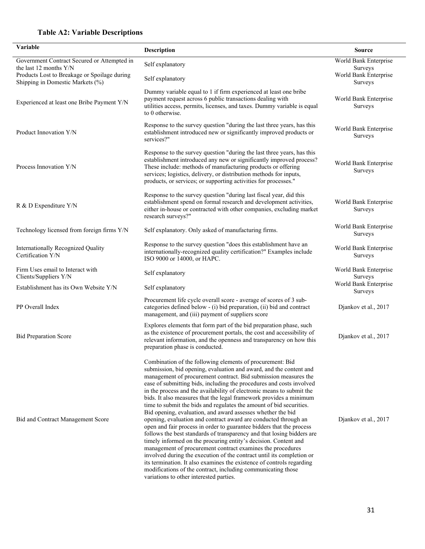# **Table A2: Variable Descriptions**

| Variable                                                                         | Description                                                                                                                                                                                                                                                                                                                                                                                                                                                                                                                                                                                                                                                                                                                                                                                                                                                                                                                                                                                                                                                                                                                                                                        | <b>Source</b>                           |
|----------------------------------------------------------------------------------|------------------------------------------------------------------------------------------------------------------------------------------------------------------------------------------------------------------------------------------------------------------------------------------------------------------------------------------------------------------------------------------------------------------------------------------------------------------------------------------------------------------------------------------------------------------------------------------------------------------------------------------------------------------------------------------------------------------------------------------------------------------------------------------------------------------------------------------------------------------------------------------------------------------------------------------------------------------------------------------------------------------------------------------------------------------------------------------------------------------------------------------------------------------------------------|-----------------------------------------|
| Government Contract Secured or Attempted in<br>the last 12 months $Y/N$          | Self explanatory                                                                                                                                                                                                                                                                                                                                                                                                                                                                                                                                                                                                                                                                                                                                                                                                                                                                                                                                                                                                                                                                                                                                                                   | World Bank Enterprise<br>Surveys        |
| Products Lost to Breakage or Spoilage during<br>Shipping in Domestic Markets (%) | Self explanatory                                                                                                                                                                                                                                                                                                                                                                                                                                                                                                                                                                                                                                                                                                                                                                                                                                                                                                                                                                                                                                                                                                                                                                   | World Bank Enterprise<br>Surveys        |
| Experienced at least one Bribe Payment Y/N                                       | Dummy variable equal to 1 if firm experienced at least one bribe<br>payment request across 6 public transactions dealing with<br>utilities access, permits, licenses, and taxes. Dummy variable is equal<br>to 0 otherwise.                                                                                                                                                                                                                                                                                                                                                                                                                                                                                                                                                                                                                                                                                                                                                                                                                                                                                                                                                        | World Bank Enterprise<br>Surveys        |
| Product Innovation Y/N                                                           | Response to the survey question "during the last three years, has this<br>establishment introduced new or significantly improved products or<br>services?"                                                                                                                                                                                                                                                                                                                                                                                                                                                                                                                                                                                                                                                                                                                                                                                                                                                                                                                                                                                                                         | World Bank Enterprise<br>Surveys        |
| Process Innovation Y/N                                                           | Response to the survey question "during the last three years, has this<br>establishment introduced any new or significantly improved process?<br>These include: methods of manufacturing products or offering<br>services; logistics, delivery, or distribution methods for inputs,<br>products, or services; or supporting activities for processes."                                                                                                                                                                                                                                                                                                                                                                                                                                                                                                                                                                                                                                                                                                                                                                                                                             | World Bank Enterprise<br><b>Surveys</b> |
| R & D Expenditure Y/N                                                            | Response to the survey question "during last fiscal year, did this<br>establishment spend on formal research and development activities,<br>either in-house or contracted with other companies, excluding market<br>research surveys?"                                                                                                                                                                                                                                                                                                                                                                                                                                                                                                                                                                                                                                                                                                                                                                                                                                                                                                                                             | World Bank Enterprise<br>Surveys        |
| Technology licensed from foreign firms Y/N                                       | Self explanatory. Only asked of manufacturing firms.                                                                                                                                                                                                                                                                                                                                                                                                                                                                                                                                                                                                                                                                                                                                                                                                                                                                                                                                                                                                                                                                                                                               | World Bank Enterprise<br>Surveys        |
| Internationally Recognized Quality<br>Certification Y/N                          | Response to the survey question "does this establishment have an<br>internationally-recognized quality certification?" Examples include<br>ISO 9000 or 14000, or HAPC.                                                                                                                                                                                                                                                                                                                                                                                                                                                                                                                                                                                                                                                                                                                                                                                                                                                                                                                                                                                                             | World Bank Enterprise<br>Surveys        |
| Firm Uses email to Interact with<br>Clients/Suppliers Y/N                        | Self explanatory                                                                                                                                                                                                                                                                                                                                                                                                                                                                                                                                                                                                                                                                                                                                                                                                                                                                                                                                                                                                                                                                                                                                                                   | World Bank Enterprise<br>Surveys        |
| Establishment has its Own Website Y/N                                            | Self explanatory                                                                                                                                                                                                                                                                                                                                                                                                                                                                                                                                                                                                                                                                                                                                                                                                                                                                                                                                                                                                                                                                                                                                                                   | World Bank Enterprise<br>Surveys        |
| PP Overall Index                                                                 | Procurement life cycle overall score - average of scores of 3 sub-<br>categories defined below - (i) bid preparation, (ii) bid and contract<br>management, and (iii) payment of suppliers score                                                                                                                                                                                                                                                                                                                                                                                                                                                                                                                                                                                                                                                                                                                                                                                                                                                                                                                                                                                    | Djankov et al., 2017                    |
| <b>Bid Preparation Score</b>                                                     | Explores elements that form part of the bid preparation phase, such<br>as the existence of procurement portals, the cost and accessibility of<br>relevant information, and the openness and transparency on how this<br>preparation phase is conducted.                                                                                                                                                                                                                                                                                                                                                                                                                                                                                                                                                                                                                                                                                                                                                                                                                                                                                                                            | Djankov et al., 2017                    |
| Bid and Contract Management Score                                                | Combination of the following elements of procurement: Bid<br>submission, bid opening, evaluation and award, and the content and<br>management of procurement contract. Bid submission measures the<br>ease of submitting bids, including the procedures and costs involved<br>in the process and the availability of electronic means to submit the<br>bids. It also measures that the legal framework provides a minimum<br>time to submit the bids and regulates the amount of bid securities.<br>Bid opening, evaluation, and award assesses whether the bid<br>opening, evaluation and contract award are conducted through an<br>open and fair process in order to guarantee bidders that the process<br>follows the best standards of transparency and that losing bidders are<br>timely informed on the procuring entity's decision. Content and<br>management of procurement contract examines the procedures<br>involved during the execution of the contract until its completion or<br>its termination. It also examines the existence of controls regarding<br>modifications of the contract, including communicating those<br>variations to other interested parties. | Djankov et al., 2017                    |